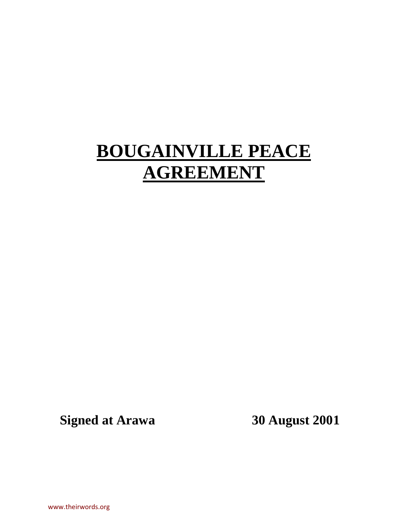# **BOUGAINVILLE PEACE AGREEMENT**

**Signed at Arawa 30 August 2001**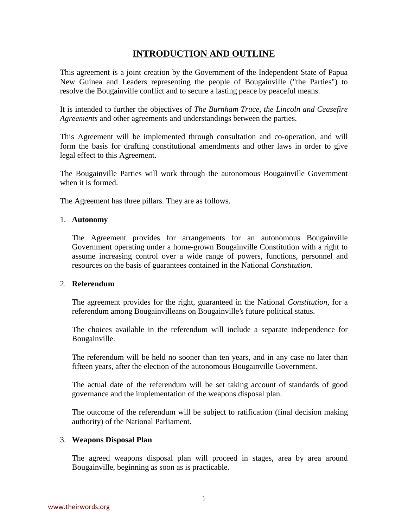# **INTRODUCTION AND OUTLINE**

<span id="page-1-0"></span>This agreement is a joint creation by the Government of the Independent State of Papua New Guinea and Leaders representing the people of Bougainville ("the Parties") to resolve the Bougainville conflict and to secure a lasting peace by peaceful means.

It is intended to further the objectives of *The Burnham Truce, the Lincoln and Ceasefire Agreements* and other agreements and understandings between the parties.

This Agreement will be implemented through consultation and co-operation, and will form the basis for drafting constitutional amendments and other laws in order to give legal effect to this Agreement.

The Bougainville Parties will work through the autonomous Bougainville Government when it is formed.

The Agreement has three pillars. They are as follows.

#### 1. **Autonomy**

The Agreement provides for arrangements for an autonomous Bougainville Government operating under a home-grown Bougainville Constitution with a right to assume increasing control over a wide range of powers, functions, personnel and resources on the basis of guarantees contained in the National *Constitution*.

#### 2. **Referendum**

The agreement provides for the right, guaranteed in the National *Constitution*, for a referendum among Bougainvilleans on Bougainville's future political status.

The choices available in the referendum will include a separate independence for Bougainville.

The referendum will be held no sooner than ten years, and in any case no later than fifteen years, after the election of the autonomous Bougainville Government.

The actual date of the referendum will be set taking account of standards of good governance and the implementation of the weapons disposal plan.

The outcome of the referendum will be subject to ratification (final decision making authority) of the National Parliament.

#### 3. **Weapons Disposal Plan**

The agreed weapons disposal plan will proceed in stages, area by area around Bougainville, beginning as soon as is practicable.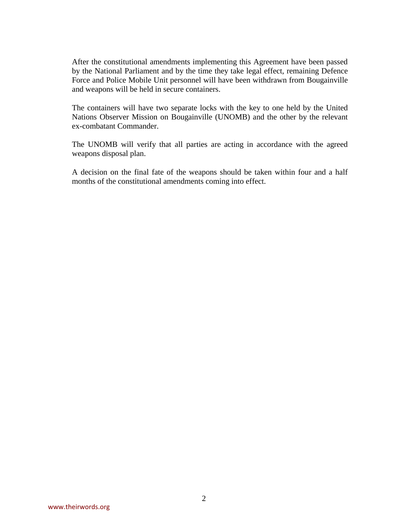After the constitutional amendments implementing this Agreement have been passed by the National Parliament and by the time they take legal effect, remaining Defence Force and Police Mobile Unit personnel will have been withdrawn from Bougainville and weapons will be held in secure containers.

The containers will have two separate locks with the key to one held by the United Nations Observer Mission on Bougainville (UNOMB) and the other by the relevant ex-combatant Commander.

The UNOMB will verify that all parties are acting in accordance with the agreed weapons disposal plan.

A decision on the final fate of the weapons should be taken within four and a half months of the constitutional amendments coming into effect.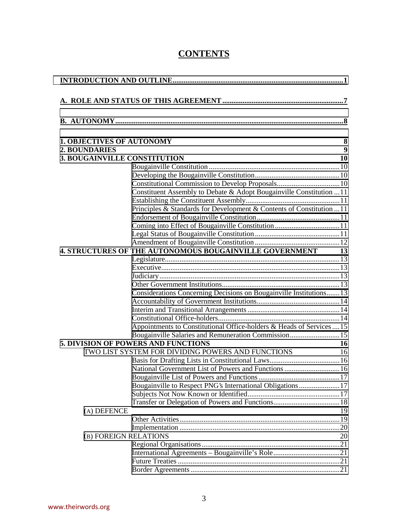| <b>CONTENTS</b> |
|-----------------|
|-----------------|

| <b>1. OBJECTIVES OF AUTONOMY</b>                                      | 8  |  |  |  |
|-----------------------------------------------------------------------|----|--|--|--|
| <b>2. BOUNDARIES</b>                                                  | 9  |  |  |  |
| <b>3. BOUGAINVILLE CONSTITUTION</b>                                   | 10 |  |  |  |
|                                                                       |    |  |  |  |
|                                                                       |    |  |  |  |
|                                                                       |    |  |  |  |
| Constituent Assembly to Debate & Adopt Bougainville Constitution 11   |    |  |  |  |
|                                                                       |    |  |  |  |
| Principles & Standards for Development & Contents of Constitution  11 |    |  |  |  |
|                                                                       |    |  |  |  |
|                                                                       |    |  |  |  |
|                                                                       |    |  |  |  |
|                                                                       |    |  |  |  |
| 4. STRUCTURES OF THE AUTONOMOUS BOUGAINVILLE GOVERNMENT 13            |    |  |  |  |
|                                                                       |    |  |  |  |
|                                                                       |    |  |  |  |
|                                                                       |    |  |  |  |
| Considerations Concerning Decisions on Bougainville Institutions 13   |    |  |  |  |
|                                                                       |    |  |  |  |
|                                                                       |    |  |  |  |
|                                                                       |    |  |  |  |
| Appointments to Constitutional Office-holders & Heads of Services15   |    |  |  |  |
| Bougainville Salaries and Remuneration Commission 15                  |    |  |  |  |
| <b>5. DIVISION OF POWERS AND FUNCTIONS</b>                            | 16 |  |  |  |
| TWO LIST SYSTEM FOR DIVIDING POWERS AND FUNCTIONS                     | 16 |  |  |  |
|                                                                       |    |  |  |  |
|                                                                       |    |  |  |  |
|                                                                       |    |  |  |  |
| Bougainville to Respect PNG's International Obligations 17            |    |  |  |  |
|                                                                       |    |  |  |  |
|                                                                       |    |  |  |  |
| (A) DEFENCE                                                           | 19 |  |  |  |
|                                                                       |    |  |  |  |
|                                                                       |    |  |  |  |
| (B) FOREIGN RELATIONS                                                 | 20 |  |  |  |
|                                                                       |    |  |  |  |
|                                                                       |    |  |  |  |
|                                                                       |    |  |  |  |
|                                                                       |    |  |  |  |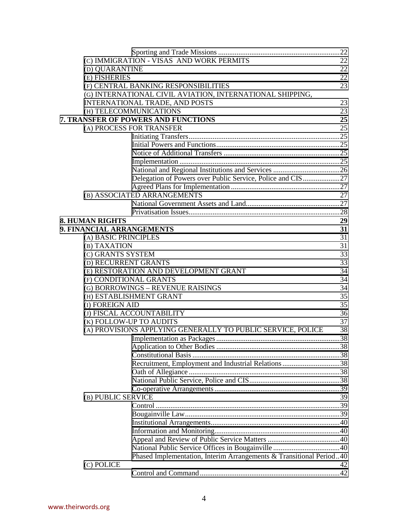|                                                              | (C) IMMIGRATION - VISAS AND WORK PERMITS                            | 22 |
|--------------------------------------------------------------|---------------------------------------------------------------------|----|
| (D) QUARANTINE                                               |                                                                     | 22 |
| (E) FISHERIES                                                |                                                                     | 22 |
|                                                              | (F) CENTRAL BANKING RESPONSIBILITIES                                | 23 |
|                                                              | (G) INTERNATIONAL CIVIL AVIATION, INTERNATIONAL SHIPPING,           |    |
|                                                              | <b>INTERNATIONAL TRADE, AND POSTS</b>                               | 23 |
| (H) TELECOMMUNICATIONS                                       |                                                                     | 23 |
|                                                              | 7. TRANSFER OF POWERS AND FUNCTIONS                                 | 25 |
| (A) PROCESS FOR TRANSFER                                     |                                                                     | 25 |
|                                                              |                                                                     |    |
|                                                              |                                                                     |    |
|                                                              |                                                                     |    |
|                                                              |                                                                     |    |
|                                                              |                                                                     |    |
|                                                              | Delegation of Powers over Public Service, Police and CIS27          |    |
|                                                              |                                                                     |    |
|                                                              | (B) ASSOCIATED ARRANGEMENTS                                         | 27 |
|                                                              |                                                                     |    |
|                                                              |                                                                     |    |
| <b>8. HUMAN RIGHTS</b>                                       |                                                                     | 29 |
| 9. FINANCIAL ARRANGEMENTS                                    |                                                                     | 31 |
| (A) BASIC PRINCIPLES                                         |                                                                     | 31 |
| (B) TAXATION                                                 |                                                                     | 31 |
|                                                              |                                                                     | 33 |
| (C) GRANTS SYSTEM<br>(D) RECURRENT GRANTS                    |                                                                     | 33 |
|                                                              |                                                                     | 34 |
|                                                              | (E) RESTORATION AND DEVELOPMENT GRANT                               | 34 |
| (F) CONDITIONAL GRANTS                                       |                                                                     |    |
| (G) BORROWINGS - REVENUE RAISINGS<br>(H) ESTABLISHMENT GRANT |                                                                     |    |
|                                                              |                                                                     | 35 |
| (I) FOREIGN AID                                              |                                                                     | 35 |
| (J) FISCAL ACCOUNTABILITY                                    |                                                                     | 36 |
| (K) FOLLOW-UP TO AUDITS                                      |                                                                     | 37 |
|                                                              | (A) PROVISIONS APPLYING GENERALLY TO PUBLIC SERVICE, POLICE         | 38 |
|                                                              |                                                                     |    |
|                                                              |                                                                     | 38 |
|                                                              |                                                                     |    |
|                                                              | Recruitment, Employment and Industrial Relations 38                 |    |
|                                                              |                                                                     |    |
|                                                              |                                                                     |    |
|                                                              |                                                                     |    |
| (B) PUBLIC SERVICE                                           |                                                                     | 39 |
|                                                              |                                                                     |    |
|                                                              |                                                                     |    |
|                                                              |                                                                     |    |
|                                                              |                                                                     |    |
|                                                              |                                                                     |    |
|                                                              |                                                                     |    |
|                                                              | Phased Implementation, Interim Arrangements & Transitional Period40 |    |
| (C) POLICE                                                   |                                                                     | 42 |
|                                                              |                                                                     |    |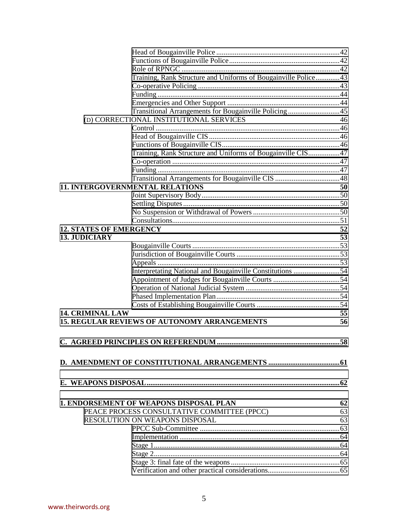|                                | Training, Rank Structure and Uniforms of Bougainville Police43 |    |
|--------------------------------|----------------------------------------------------------------|----|
|                                |                                                                |    |
|                                |                                                                |    |
|                                |                                                                |    |
|                                | Transitional Arrangements for Bougainville Policing45          |    |
|                                | (D) CORRECTIONAL INSTITUTIONAL SERVICES                        | 46 |
|                                |                                                                |    |
|                                |                                                                |    |
|                                |                                                                |    |
|                                | Training, Rank Structure and Uniforms of Bougainville CIS 47   |    |
|                                |                                                                |    |
|                                |                                                                |    |
|                                |                                                                |    |
|                                | <b>11. INTERGOVERNMENTAL RELATIONS</b>                         | 50 |
|                                |                                                                |    |
|                                |                                                                |    |
|                                |                                                                |    |
|                                |                                                                |    |
| <b>12. STATES OF EMERGENCY</b> |                                                                | 52 |
| <b>13. JUDICIARY</b>           |                                                                | 53 |
|                                |                                                                |    |
|                                |                                                                |    |
|                                |                                                                |    |
|                                |                                                                |    |
|                                |                                                                |    |
|                                |                                                                |    |
|                                |                                                                |    |
|                                |                                                                |    |
| <b>14. CRIMINAL LAW</b>        |                                                                | 55 |
|                                | <b>15. REGULAR REVIEWS OF AUTONOMY ARRANGEMENTS</b>            | 56 |
|                                |                                                                |    |
|                                |                                                                |    |
|                                |                                                                |    |
|                                |                                                                |    |
|                                |                                                                |    |
|                                |                                                                |    |
|                                |                                                                |    |
|                                |                                                                |    |
|                                | <b>1. ENDORSEMENT OF WEAPONS DISPOSAL PLAN</b>                 | 62 |
|                                | PEACE PROCESS CONSULTATIVE COMMITTEE (PPCC)                    | 63 |
|                                | <b>RESOLUTION ON WEAPONS DISPOSAL</b>                          | 63 |
|                                |                                                                |    |
|                                |                                                                |    |
|                                |                                                                |    |
|                                |                                                                |    |
|                                |                                                                |    |
|                                |                                                                |    |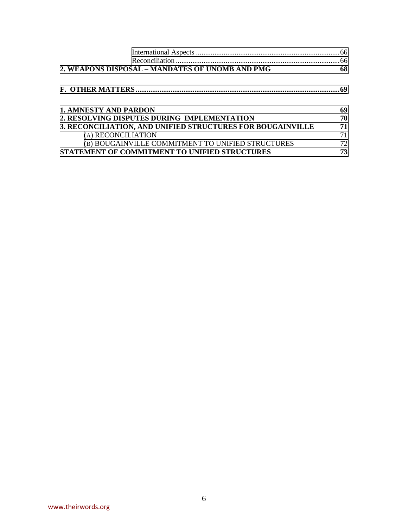|                                                            | .66 |
|------------------------------------------------------------|-----|
| 2. WEAPONS DISPOSAL - MANDATES OF UNOMB AND PMG            | 68  |
|                                                            | 69  |
|                                                            |     |
| <b>1. AMNESTY AND PARDON</b>                               | 69  |
| 2. RESOLVING DISPUTES DURING IMPLEMENTATION                | 70  |
| 3. RECONCILIATION, AND UNIFIED STRUCTURES FOR BOUGAINVILLE | 71  |
| (A) RECONCILIATION                                         | 71  |
| (B) BOUGAINVILLE COMMITMENT TO UNIFIED STRUCTURES          | 72  |
| STATEMENT OF COMMITMENT TO UNIFIED STRUCTURES              | 73  |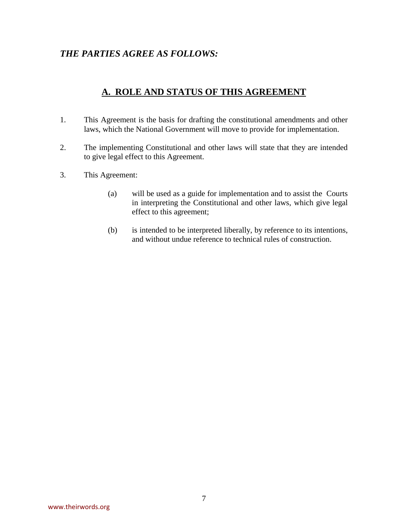# *THE PARTIES AGREE AS FOLLOWS:*

# **A. ROLE AND STATUS OF THIS AGREEMENT**

- 1.This Agreement is the basis for drafting the constitutional amendments and other laws, which the National Government will move to provide for implementation.
- 2. The implementing Constitutional and other laws will state that they are intended to give legal effect to this Agreement.
- 3. This Agreement:
	- (a) will be used as a guide for implementation and to assist the Courts in interpreting the Constitutional and other laws, which give legal effect to this agreement;
	- (b) is intended to be interpreted liberally, by reference to its intentions, and without undue reference to technical rules of construction.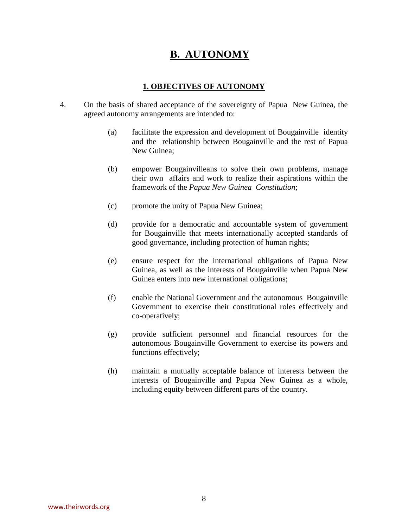# **B. AUTONOMY**

# **1. OBJECTIVES OF AUTONOMY**

- <span id="page-8-0"></span>4. On the basis of shared acceptance of the sovereignty of Papua New Guinea, the agreed autonomy arrangements are intended to:
	- (a) facilitate the expression and development of Bougainville identity and the relationship between Bougainville and the rest of Papua New Guinea;
	- (b) empower Bougainvilleans to solve their own problems, manage their own affairs and work to realize their aspirations within the framework of the *Papua New Guinea Constitution*;
	- (c) promote the unity of Papua New Guinea;
	- (d) provide for a democratic and accountable system of government for Bougainville that meets internationally accepted standards of good governance, including protection of human rights;
	- (e) ensure respect for the international obligations of Papua New Guinea, as well as the interests of Bougainville when Papua New Guinea enters into new international obligations;
	- (f) enable the National Government and the autonomous Bougainville Government to exercise their constitutional roles effectively and co-operatively;
	- (g) provide sufficient personnel and financial resources for the autonomous Bougainville Government to exercise its powers and functions effectively;
	- (h) maintain a mutually acceptable balance of interests between the interests of Bougainville and Papua New Guinea as a whole, including equity between different parts of the country.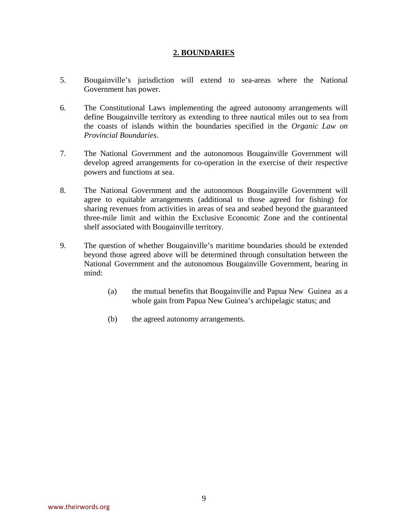#### **2. BOUNDARIES**

- <span id="page-9-0"></span>5. Bougainville's jurisdiction will extend to sea-areas where the National Government has power.
- 6. The Constitutional Laws implementing the agreed autonomy arrangements will define Bougainville territory as extending to three nautical miles out to sea from the coasts of islands within the boundaries specified in the *Organic Law on Provincial Boundaries*.
- 7. The National Government and the autonomous Bougainville Government will develop agreed arrangements for co-operation in the exercise of their respective powers and functions at sea.
- 8. The National Government and the autonomous Bougainville Government will agree to equitable arrangements (additional to those agreed for fishing) for sharing revenues from activities in areas of sea and seabed beyond the guaranteed three-mile limit and within the Exclusive Economic Zone and the continental shelf associated with Bougainville territory.
- 9. The question of whether Bougainville's maritime boundaries should be extended beyond those agreed above will be determined through consultation between the National Government and the autonomous Bougainville Government, bearing in mind:
	- (a) the mutual benefits that Bougainville and Papua New Guinea as a whole gain from Papua New Guinea's archipelagic status; and
	- (b) the agreed autonomy arrangements.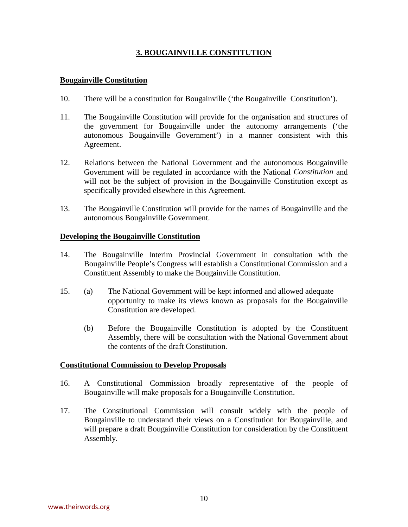# **3. BOUGAINVILLE CONSTITUTION**

# <span id="page-10-0"></span>**Bougainville Constitution**

- 10. There will be a constitution for Bougainville ('the Bougainville Constitution').
- 11. The Bougainville Constitution will provide for the organisation and structures of the government for Bougainville under the autonomy arrangements ('the autonomous Bougainville Government') in a manner consistent with this Agreement.
- 12. Relations between the National Government and the autonomous Bougainville Government will be regulated in accordance with the National *Constitution* and will not be the subject of provision in the Bougainville Constitution except as specifically provided elsewhere in this Agreement.
- 13. The Bougainville Constitution will provide for the names of Bougainville and the autonomous Bougainville Government.

# **Developing the Bougainville Constitution**

- 14. The Bougainville Interim Provincial Government in consultation with the Bougainville People's Congress will establish a Constitutional Commission and a Constituent Assembly to make the Bougainville Constitution.
- 15. (a) The National Government will be kept informed and allowed adequate opportunity to make its views known as proposals for the Bougainville Constitution are developed.
	- (b) Before the Bougainville Constitution is adopted by the Constituent Assembly, there will be consultation with the National Government about the contents of the draft Constitution.

#### **Constitutional Commission to Develop Proposals**

- 16. A Constitutional Commission broadly representative of the people of Bougainville will make proposals for a Bougainville Constitution.
- 17. The Constitutional Commission will consult widely with the people of Bougainville to understand their views on a Constitution for Bougainville, and will prepare a draft Bougainville Constitution for consideration by the Constituent Assembly.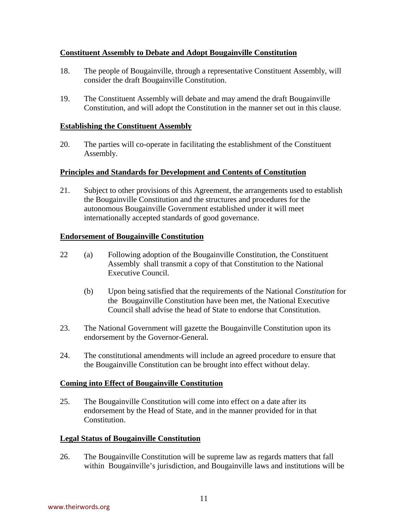# <span id="page-11-0"></span>**Constituent Assembly to Debate and Adopt Bougainville Constitution**

- 18. The people of Bougainville, through a representative Constituent Assembly, will consider the draft Bougainville Constitution.
- 19. The Constituent Assembly will debate and may amend the draft Bougainville Constitution, and will adopt the Constitution in the manner set out in this clause.

#### **Establishing the Constituent Assembly**

20. The parties will co-operate in facilitating the establishment of the Constituent Assembly.

# **Principles and Standards for Development and Contents of Constitution**

21. Subject to other provisions of this Agreement, the arrangements used to establish the Bougainville Constitution and the structures and procedures for the autonomous Bougainville Government established under it will meet internationally accepted standards of good governance.

#### **Endorsement of Bougainville Constitution**

- 22 (a) Following adoption of the Bougainville Constitution, the Constituent Assembly shall transmit a copy of that Constitution to the National Executive Council.
	- (b) Upon being satisfied that the requirements of the National *Constitution* for the Bougainville Constitution have been met, the National Executive Council shall advise the head of State to endorse that Constitution.
- 23. The National Government will gazette the Bougainville Constitution upon its endorsement by the Governor-General.
- 24. The constitutional amendments will include an agreed procedure to ensure that the Bougainville Constitution can be brought into effect without delay.

#### **Coming into Effect of Bougainville Constitution**

25. The Bougainville Constitution will come into effect on a date after its endorsement by the Head of State, and in the manner provided for in that Constitution.

#### **Legal Status of Bougainville Constitution**

26. The Bougainville Constitution will be supreme law as regards matters that fall within Bougainville's jurisdiction, and Bougainville laws and institutions will be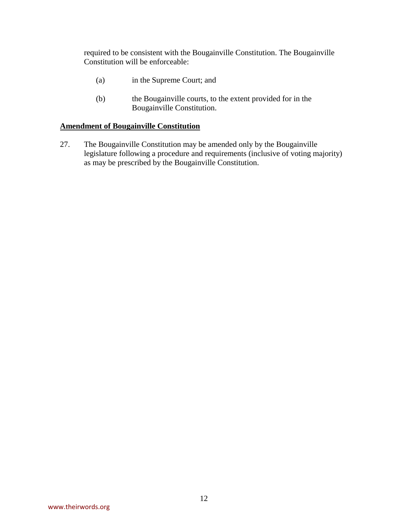<span id="page-12-0"></span>required to be consistent with the Bougainville Constitution. The Bougainville Constitution will be enforceable:

- (a) in the Supreme Court; and
- (b) the Bougainville courts, to the extent provided for in the Bougainville Constitution.

# **Amendment of Bougainville Constitution**

27. The Bougainville Constitution may be amended only by the Bougainville legislature following a procedure and requirements (inclusive of voting majority) as may be prescribed by the Bougainville Constitution.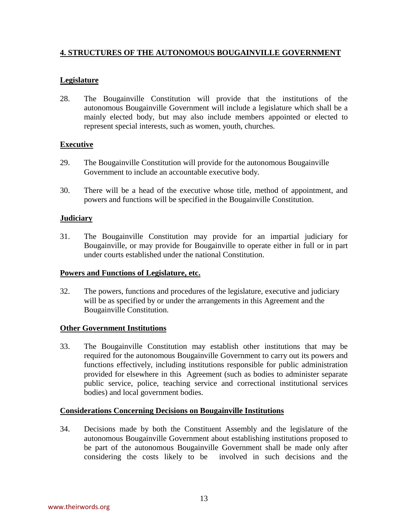# <span id="page-13-0"></span>**4. STRUCTURES OF THE AUTONOMOUS BOUGAINVILLE GOVERNMENT**

# **Legislature**

28. The Bougainville Constitution will provide that the institutions of the autonomous Bougainville Government will include a legislature which shall be a mainly elected body, but may also include members appointed or elected to represent special interests, such as women, youth, churches.

# **Executive**

- 29.The Bougainville Constitution will provide for the autonomous Bougainville Government to include an accountable executive body.
- 30. There will be a head of the executive whose title, method of appointment, and powers and functions will be specified in the Bougainville Constitution.

# **Judiciary**

31. The Bougainville Constitution may provide for an impartial judiciary for Bougainville, or may provide for Bougainville to operate either in full or in part under courts established under the national Constitution.

# **Powers and Functions of Legislature, etc.**

32.The powers, functions and procedures of the legislature, executive and judiciary will be as specified by or under the arrangements in this Agreement and the Bougainville Constitution.

# **Other Government Institutions**

33. The Bougainville Constitution may establish other institutions that may be required for the autonomous Bougainville Government to carry out its powers and functions effectively, including institutions responsible for public administration provided for elsewhere in this Agreement (such as bodies to administer separate public service, police, teaching service and correctional institutional services bodies) and local government bodies.

# **Considerations Concerning Decisions on Bougainville Institutions**

34. Decisions made by both the Constituent Assembly and the legislature of the autonomous Bougainville Government about establishing institutions proposed to be part of the autonomous Bougainville Government shall be made only after considering the costs likely to be involved in such decisions and the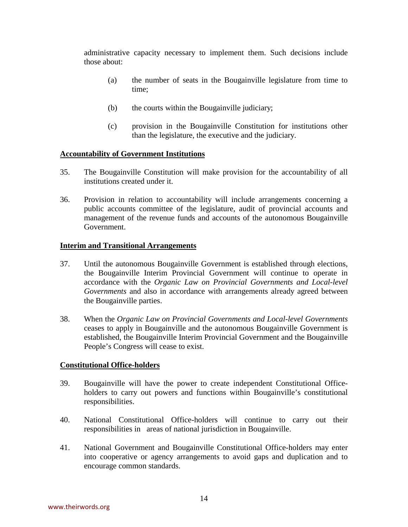<span id="page-14-0"></span>administrative capacity necessary to implement them. Such decisions include those about:

- (a) the number of seats in the Bougainville legislature from time to time;
- (b) the courts within the Bougainville judiciary;
- (c) provision in the Bougainville Constitution for institutions other than the legislature, the executive and the judiciary.

#### **Accountability of Government Institutions**

- 35. The Bougainville Constitution will make provision for the accountability of all institutions created under it.
- 36. Provision in relation to accountability will include arrangements concerning a public accounts committee of the legislature, audit of provincial accounts and management of the revenue funds and accounts of the autonomous Bougainville Government.

#### **Interim and Transitional Arrangements**

- 37. Until the autonomous Bougainville Government is established through elections, the Bougainville Interim Provincial Government will continue to operate in accordance with the *Organic Law on Provincial Governments and Local-level Governments* and also in accordance with arrangements already agreed between the Bougainville parties.
- 38. When the *Organic Law on Provincial Governments and Local-level Governments* ceases to apply in Bougainville and the autonomous Bougainville Government is established, the Bougainville Interim Provincial Government and the Bougainville People's Congress will cease to exist.

#### **Constitutional Office-holders**

- 39. Bougainville will have the power to create independent Constitutional Officeholders to carry out powers and functions within Bougainville's constitutional responsibilities.
- 40. National Constitutional Office-holders will continue to carry out their responsibilities in areas of national jurisdiction in Bougainville.
- 41. National Government and Bougainville Constitutional Office-holders may enter into cooperative or agency arrangements to avoid gaps and duplication and to encourage common standards.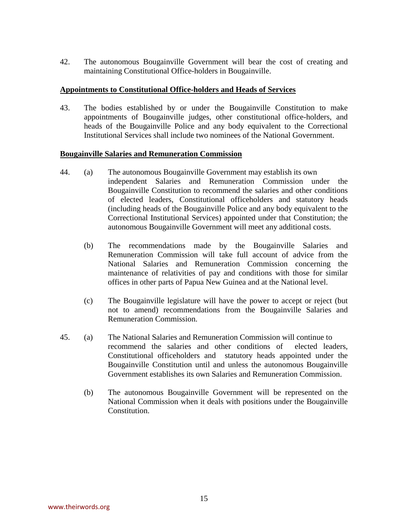<span id="page-15-0"></span>42. The autonomous Bougainville Government will bear the cost of creating and maintaining Constitutional Office-holders in Bougainville.

#### **Appointments to Constitutional Office-holders and Heads of Services**

43. The bodies established by or under the Bougainville Constitution to make appointments of Bougainville judges, other constitutional office-holders, and heads of the Bougainville Police and any body equivalent to the Correctional Institutional Services shall include two nominees of the National Government.

#### **Bougainville Salaries and Remuneration Commission**

- 44. (a) The autonomous Bougainville Government may establish its own independent Salaries and Remuneration Commission under the Bougainville Constitution to recommend the salaries and other conditions of elected leaders, Constitutional officeholders and statutory heads (including heads of the Bougainville Police and any body equivalent to the Correctional Institutional Services) appointed under that Constitution; the autonomous Bougainville Government will meet any additional costs.
	- (b) The recommendations made by the Bougainville Salaries and Remuneration Commission will take full account of advice from the National Salaries and Remuneration Commission concerning the maintenance of relativities of pay and conditions with those for similar offices in other parts of Papua New Guinea and at the National level.
	- (c) The Bougainville legislature will have the power to accept or reject (but not to amend) recommendations from the Bougainville Salaries and Remuneration Commission.
- 45. (a) The National Salaries and Remuneration Commission will continue to recommend the salaries and other conditions of elected leaders, Constitutional officeholders and statutory heads appointed under the Bougainville Constitution until and unless the autonomous Bougainville Government establishes its own Salaries and Remuneration Commission.
	- (b) The autonomous Bougainville Government will be represented on the National Commission when it deals with positions under the Bougainville Constitution.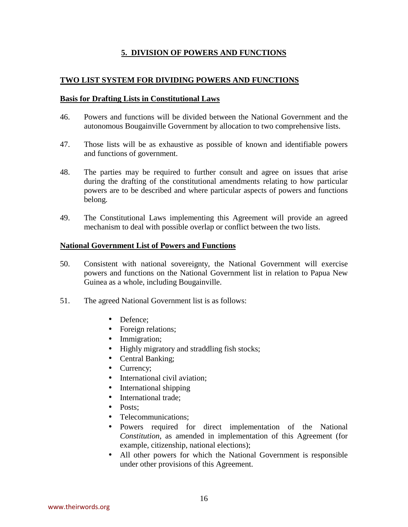# **5. DIVISION OF POWERS AND FUNCTIONS**

# <span id="page-16-0"></span>**TWO LIST SYSTEM FOR DIVIDING POWERS AND FUNCTIONS**

#### **Basis for Drafting Lists in Constitutional Laws**

- 46.Powers and functions will be divided between the National Government and the autonomous Bougainville Government by allocation to two comprehensive lists.
- 47. Those lists will be as exhaustive as possible of known and identifiable powers and functions of government.
- 48. The parties may be required to further consult and agree on issues that arise during the drafting of the constitutional amendments relating to how particular powers are to be described and where particular aspects of powers and functions belong.
- 49. The Constitutional Laws implementing this Agreement will provide an agreed mechanism to deal with possible overlap or conflict between the two lists.

#### **National Government List of Powers and Functions**

- 50. Consistent with national sovereignty, the National Government will exercise powers and functions on the National Government list in relation to Papua New Guinea as a whole, including Bougainville.
- 51. The agreed National Government list is as follows:
	- Defence:
	- Foreign relations;
	- Immigration;
	- Highly migratory and straddling fish stocks;
	- Central Banking;
	- Currency:
	- International civil aviation:
	- International shipping
	- International trade;
	- Posts:
	- Telecommunications;
	- Powers required for direct implementation of the National *Constitution*, as amended in implementation of this Agreement (for example, citizenship, national elections);
	- All other powers for which the National Government is responsible under other provisions of this Agreement.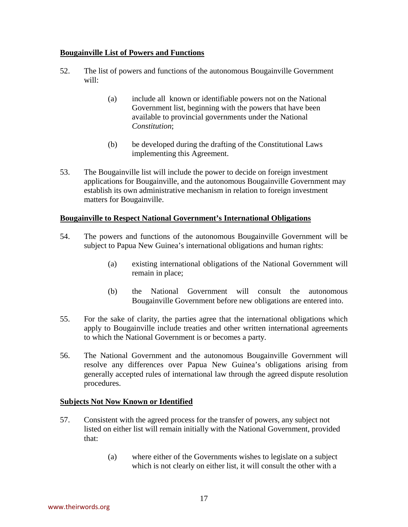# <span id="page-17-0"></span>**Bougainville List of Powers and Functions**

- 52. The list of powers and functions of the autonomous Bougainville Government will:
	- (a) include all known or identifiable powers not on the National Government list, beginning with the powers that have been available to provincial governments under the National *Constitution*;
	- (b) be developed during the drafting of the Constitutional Laws implementing this Agreement.
- 53. The Bougainville list will include the power to decide on foreign investment applications for Bougainville, and the autonomous Bougainville Government may establish its own administrative mechanism in relation to foreign investment matters for Bougainville.

# **Bougainville to Respect National Government's International Obligations**

- 54. The powers and functions of the autonomous Bougainville Government will be subject to Papua New Guinea's international obligations and human rights:
	- (a) existing international obligations of the National Government will remain in place;
	- (b) the National Government will consult the autonomous Bougainville Government before new obligations are entered into.
- 55. For the sake of clarity, the parties agree that the international obligations which apply to Bougainville include treaties and other written international agreements to which the National Government is or becomes a party.
- 56. The National Government and the autonomous Bougainville Government will resolve any differences over Papua New Guinea's obligations arising from generally accepted rules of international law through the agreed dispute resolution procedures.

#### **Subjects Not Now Known or Identified**

- 57. Consistent with the agreed process for the transfer of powers, any subject not listed on either list will remain initially with the National Government, provided that:
	- (a) where either of the Governments wishes to legislate on a subject which is not clearly on either list, it will consult the other with a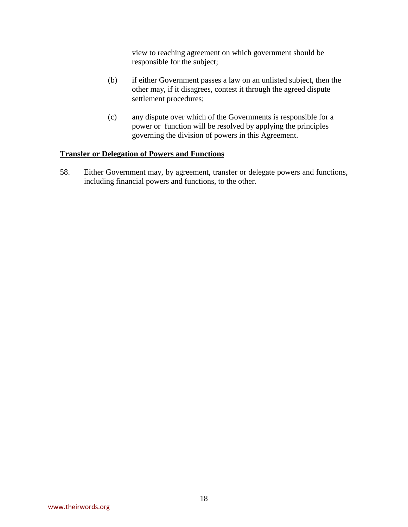view to reaching agreement on which government should be responsible for the subject;

- <span id="page-18-0"></span>(b) if either Government passes a law on an unlisted subject, then the other may, if it disagrees, contest it through the agreed dispute settlement procedures;
- (c) any dispute over which of the Governments is responsible for a power or function will be resolved by applying the principles governing the division of powers in this Agreement.

#### **Transfer or Delegation of Powers and Functions**

58. Either Government may, by agreement, transfer or delegate powers and functions, including financial powers and functions, to the other.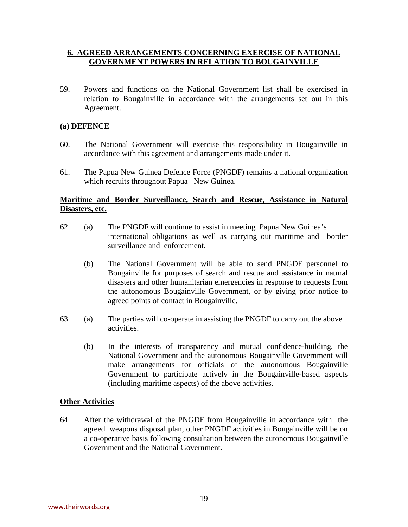# <span id="page-19-0"></span>**6. AGREED ARRANGEMENTS CONCERNING EXERCISE OF NATIONAL GOVERNMENT POWERS IN RELATION TO BOUGAINVILLE**

59. Powers and functions on the National Government list shall be exercised in relation to Bougainville in accordance with the arrangements set out in this Agreement.

# **(a) DEFENCE**

- 60. The National Government will exercise this responsibility in Bougainville in accordance with this agreement and arrangements made under it.
- 61. The Papua New Guinea Defence Force (PNGDF) remains a national organization which recruits throughout Papua New Guinea.

# **Maritime and Border Surveillance, Search and Rescue, Assistance in Natural Disasters, etc.**

- 62. (a) The PNGDF will continue to assist in meeting Papua New Guinea's international obligations as well as carrying out maritime and border surveillance and enforcement.
	- (b) The National Government will be able to send PNGDF personnel to Bougainville for purposes of search and rescue and assistance in natural disasters and other humanitarian emergencies in response to requests from the autonomous Bougainville Government, or by giving prior notice to agreed points of contact in Bougainville.
- 63. (a) The parties will co-operate in assisting the PNGDF to carry out the above activities.
	- (b) In the interests of transparency and mutual confidence-building, the National Government and the autonomous Bougainville Government will make arrangements for officials of the autonomous Bougainville Government to participate actively in the Bougainville-based aspects (including maritime aspects) of the above activities.

#### **Other Activities**

64. After the withdrawal of the PNGDF from Bougainville in accordance with the agreed weapons disposal plan, other PNGDF activities in Bougainville will be on a co-operative basis following consultation between the autonomous Bougainville Government and the National Government.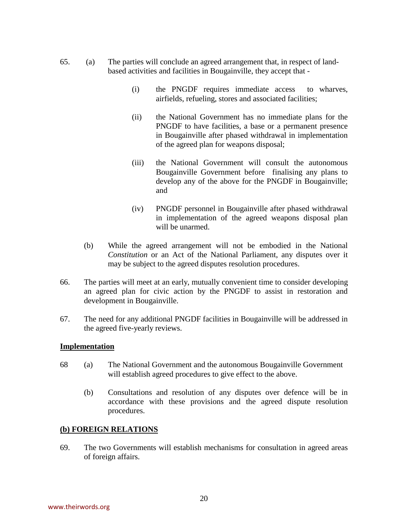- <span id="page-20-0"></span>65. (a) The parties will conclude an agreed arrangement that, in respect of landbased activities and facilities in Bougainville, they accept that -
	- (i) the PNGDF requires immediate access to wharves, airfields, refueling, stores and associated facilities;
	- (ii) the National Government has no immediate plans for the PNGDF to have facilities, a base or a permanent presence in Bougainville after phased withdrawal in implementation of the agreed plan for weapons disposal;
	- (iii) the National Government will consult the autonomous Bougainville Government before finalising any plans to develop any of the above for the PNGDF in Bougainville; and
	- (iv) PNGDF personnel in Bougainville after phased withdrawal in implementation of the agreed weapons disposal plan will be unarmed.
	- (b) While the agreed arrangement will not be embodied in the National *Constitution* or an Act of the National Parliament, any disputes over it may be subject to the agreed disputes resolution procedures.
- 66. The parties will meet at an early, mutually convenient time to consider developing an agreed plan for civic action by the PNGDF to assist in restoration and development in Bougainville.
- 67. The need for any additional PNGDF facilities in Bougainville will be addressed in the agreed five-yearly reviews.

#### **Implementation**

- 68 (a) The National Government and the autonomous Bougainville Government will establish agreed procedures to give effect to the above.
	- (b) Consultations and resolution of any disputes over defence will be in accordance with these provisions and the agreed dispute resolution procedures.

#### **(b) FOREIGN RELATIONS**

69. The two Governments will establish mechanisms for consultation in agreed areas of foreign affairs.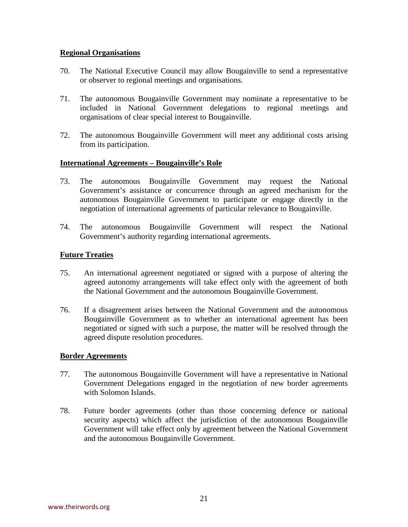# <span id="page-21-0"></span>**Regional Organisations**

- 70. The National Executive Council may allow Bougainville to send a representative or observer to regional meetings and organisations.
- 71. The autonomous Bougainville Government may nominate a representative to be included in National Government delegations to regional meetings and organisations of clear special interest to Bougainville.
- 72. The autonomous Bougainville Government will meet any additional costs arising from its participation.

# **International Agreements – Bougainville's Role**

- 73.The autonomous Bougainville Government may request the National Government's assistance or concurrence through an agreed mechanism for the autonomous Bougainville Government to participate or engage directly in the negotiation of international agreements of particular relevance to Bougainville.
- 74. The autonomous Bougainville Government will respect the National Government's authority regarding international agreements.

# **Future Treaties**

- 75.An international agreement negotiated or signed with a purpose of altering the agreed autonomy arrangements will take effect only with the agreement of both the National Government and the autonomous Bougainville Government.
- 76. If a disagreement arises between the National Government and the autonomous Bougainville Government as to whether an international agreement has been negotiated or signed with such a purpose, the matter will be resolved through the agreed dispute resolution procedures.

#### **Border Agreements**

- 77. The autonomous Bougainville Government will have a representative in National Government Delegations engaged in the negotiation of new border agreements with Solomon Islands.
- 78. Future border agreements (other than those concerning defence or national security aspects) which affect the jurisdiction of the autonomous Bougainville Government will take effect only by agreement between the National Government and the autonomous Bougainville Government.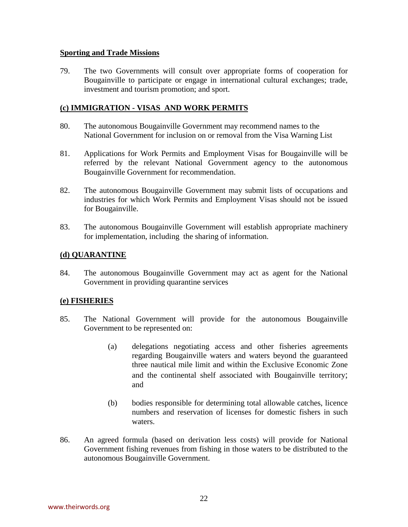#### <span id="page-22-0"></span>**Sporting and Trade Missions**

79. The two Governments will consult over appropriate forms of cooperation for Bougainville to participate or engage in international cultural exchanges; trade, investment and tourism promotion; and sport.

# **(c) IMMIGRATION - VISAS AND WORK PERMITS**

- 80. The autonomous Bougainville Government may recommend names to the National Government for inclusion on or removal from the Visa Warning List
- 81. Applications for Work Permits and Employment Visas for Bougainville will be referred by the relevant National Government agency to the autonomous Bougainville Government for recommendation.
- 82. The autonomous Bougainville Government may submit lists of occupations and industries for which Work Permits and Employment Visas should not be issued for Bougainville.
- 83. The autonomous Bougainville Government will establish appropriate machinery for implementation, including the sharing of information.

# **(d) QUARANTINE**

84. The autonomous Bougainville Government may act as agent for the National Government in providing quarantine services

# **(e) FISHERIES**

- 85. The National Government will provide for the autonomous Bougainville Government to be represented on:
	- (a) delegations negotiating access and other fisheries agreements regarding Bougainville waters and waters beyond the guaranteed three nautical mile limit and within the Exclusive Economic Zone and the continental shelf associated with Bougainville territory; and
	- (b) bodies responsible for determining total allowable catches, licence numbers and reservation of licenses for domestic fishers in such waters.
- 86. An agreed formula (based on derivation less costs) will provide for National Government fishing revenues from fishing in those waters to be distributed to the autonomous Bougainville Government.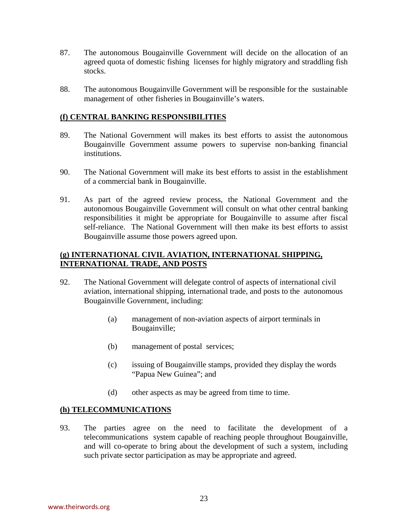- <span id="page-23-0"></span>87. The autonomous Bougainville Government will decide on the allocation of an agreed quota of domestic fishing licenses for highly migratory and straddling fish stocks.
- 88. The autonomous Bougainville Government will be responsible for the sustainable management of other fisheries in Bougainville's waters.

# **(f) CENTRAL BANKING RESPONSIBILITIES**

- 89. The National Government will makes its best efforts to assist the autonomous Bougainville Government assume powers to supervise non-banking financial institutions.
- 90. The National Government will make its best efforts to assist in the establishment of a commercial bank in Bougainville.
- 91. As part of the agreed review process, the National Government and the autonomous Bougainville Government will consult on what other central banking responsibilities it might be appropriate for Bougainville to assume after fiscal self-reliance. The National Government will then make its best efforts to assist Bougainville assume those powers agreed upon.

# **(g) INTERNATIONAL CIVIL AVIATION, INTERNATIONAL SHIPPING, INTERNATIONAL TRADE, AND POSTS**

- 92. The National Government will delegate control of aspects of international civil aviation, international shipping, international trade, and posts to the autonomous Bougainville Government, including:
	- (a) management of non-aviation aspects of airport terminals in Bougainville;
	- (b) management of postal services;
	- (c) issuing of Bougainville stamps, provided they display the words "Papua New Guinea"; and
	- (d) other aspects as may be agreed from time to time.

#### **(h) TELECOMMUNICATIONS**

93. The parties agree on the need to facilitate the development of a telecommunications system capable of reaching people throughout Bougainville, and will co-operate to bring about the development of such a system, including such private sector participation as may be appropriate and agreed.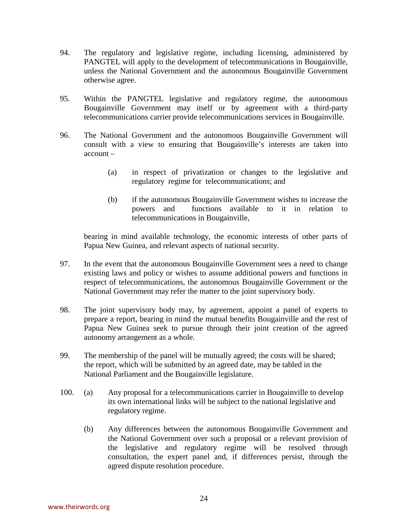- 94. The regulatory and legislative regime, including licensing, administered by PANGTEL will apply to the development of telecommunications in Bougainville, unless the National Government and the autonomous Bougainville Government otherwise agree.
- 95. Within the PANGTEL legislative and regulatory regime, the autonomous Bougainville Government may itself or by agreement with a third-party telecommunications carrier provide telecommunications services in Bougainville.
- 96. The National Government and the autonomous Bougainville Government will consult with a view to ensuring that Bougainville's interests are taken into account –
	- (a) in respect of privatization or changes to the legislative and regulatory regime for telecommunications; and
	- (b) if the autonomous Bougainville Government wishes to increase the powers and functions available to it in relation to telecommunications in Bougainville,

bearing in mind available technology, the economic interests of other parts of Papua New Guinea, and relevant aspects of national security.

- 97. In the event that the autonomous Bougainville Government sees a need to change existing laws and policy or wishes to assume additional powers and functions in respect of telecommunications, the autonomous Bougainville Government or the National Government may refer the matter to the joint supervisory body.
- 98. The joint supervisory body may, by agreement, appoint a panel of experts to prepare a report, bearing in mind the mutual benefits Bougainville and the rest of Papua New Guinea seek to pursue through their joint creation of the agreed autonomy arrangement as a whole.
- 99. The membership of the panel will be mutually agreed; the costs will be shared; the report, which will be submitted by an agreed date, may be tabled in the National Parliament and the Bougainville legislature.
- 100. (a) Any proposal for a telecommunications carrier in Bougainville to develop its own international links will be subject to the national legislative and regulatory regime.
	- (b) Any differences between the autonomous Bougainville Government and the National Government over such a proposal or a relevant provision of the legislative and regulatory regime will be resolved through consultation, the expert panel and, if differences persist, through the agreed dispute resolution procedure.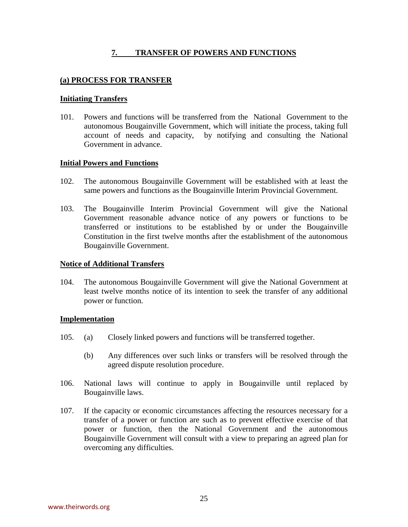# **7. TRANSFER OF POWERS AND FUNCTIONS**

#### <span id="page-25-0"></span>**(a) PROCESS FOR TRANSFER**

#### **Initiating Transfers**

101. Powers and functions will be transferred from the National Government to the autonomous Bougainville Government, which will initiate the process, taking full account of needs and capacity, by notifying and consulting the National Government in advance.

#### **Initial Powers and Functions**

- 102. The autonomous Bougainville Government will be established with at least the same powers and functions as the Bougainville Interim Provincial Government.
- 103. The Bougainville Interim Provincial Government will give the National Government reasonable advance notice of any powers or functions to be transferred or institutions to be established by or under the Bougainville Constitution in the first twelve months after the establishment of the autonomous Bougainville Government.

#### **Notice of Additional Transfers**

104. The autonomous Bougainville Government will give the National Government at least twelve months notice of its intention to seek the transfer of any additional power or function.

#### **Implementation**

- 105. (a) Closely linked powers and functions will be transferred together.
	- (b) Any differences over such links or transfers will be resolved through the agreed dispute resolution procedure.
- 106. National laws will continue to apply in Bougainville until replaced by Bougainville laws.
- 107. If the capacity or economic circumstances affecting the resources necessary for a transfer of a power or function are such as to prevent effective exercise of that power or function, then the National Government and the autonomous Bougainville Government will consult with a view to preparing an agreed plan for overcoming any difficulties.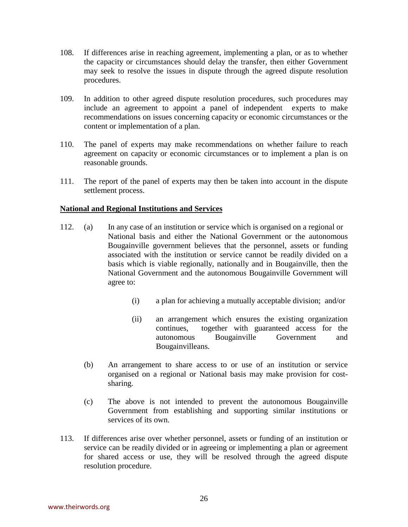- <span id="page-26-0"></span>108. If differences arise in reaching agreement, implementing a plan, or as to whether the capacity or circumstances should delay the transfer, then either Government may seek to resolve the issues in dispute through the agreed dispute resolution procedures.
- 109. In addition to other agreed dispute resolution procedures, such procedures may include an agreement to appoint a panel of independent experts to make recommendations on issues concerning capacity or economic circumstances or the content or implementation of a plan.
- 110. The panel of experts may make recommendations on whether failure to reach agreement on capacity or economic circumstances or to implement a plan is on reasonable grounds.
- 111. The report of the panel of experts may then be taken into account in the dispute settlement process.

#### **National and Regional Institutions and Services**

- 112. (a) In any case of an institution or service which is organised on a regional or National basis and either the National Government or the autonomous Bougainville government believes that the personnel, assets or funding associated with the institution or service cannot be readily divided on a basis which is viable regionally, nationally and in Bougainville, then the National Government and the autonomous Bougainville Government will agree to:
	- (i) a plan for achieving a mutually acceptable division; and/or
	- (ii) an arrangement which ensures the existing organization continues, together with guaranteed access for the autonomous Bougainville Government and Bougainvilleans.
	- (b) An arrangement to share access to or use of an institution or service organised on a regional or National basis may make provision for costsharing.
	- (c)The above is not intended to prevent the autonomous Bougainville Government from establishing and supporting similar institutions or services of its own.
- 113. If differences arise over whether personnel, assets or funding of an institution or service can be readily divided or in agreeing or implementing a plan or agreement for shared access or use, they will be resolved through the agreed dispute resolution procedure.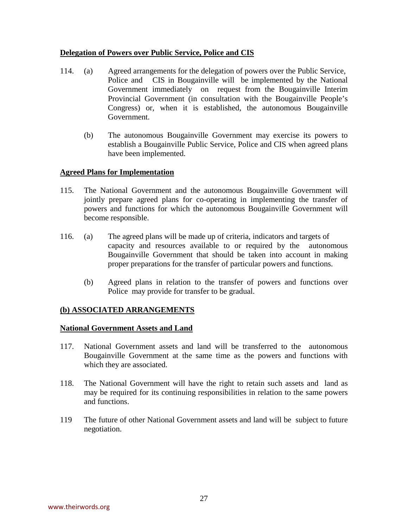# <span id="page-27-0"></span>**Delegation of Powers over Public Service, Police and CIS**

- 114. (a) Agreed arrangements for the delegation of powers over the Public Service, Police and CIS in Bougainville will be implemented by the National Government immediately on request from the Bougainville Interim Provincial Government (in consultation with the Bougainville People's Congress) or, when it is established, the autonomous Bougainville Government.
	- (b) The autonomous Bougainville Government may exercise its powers to establish a Bougainville Public Service, Police and CIS when agreed plans have been implemented.

# **Agreed Plans for Implementation**

- 115. The National Government and the autonomous Bougainville Government will jointly prepare agreed plans for co-operating in implementing the transfer of powers and functions for which the autonomous Bougainville Government will become responsible.
- 116. (a) The agreed plans will be made up of criteria, indicators and targets of capacity and resources available to or required by the autonomous Bougainville Government that should be taken into account in making proper preparations for the transfer of particular powers and functions.
	- (b) Agreed plans in relation to the transfer of powers and functions over Police may provide for transfer to be gradual.

# **(b) ASSOCIATED ARRANGEMENTS**

#### **National Government Assets and Land**

- 117. National Government assets and land will be transferred to the autonomous Bougainville Government at the same time as the powers and functions with which they are associated.
- 118. The National Government will have the right to retain such assets and land as may be required for its continuing responsibilities in relation to the same powers and functions.
- 119 The future of other National Government assets and land will be subject to future negotiation.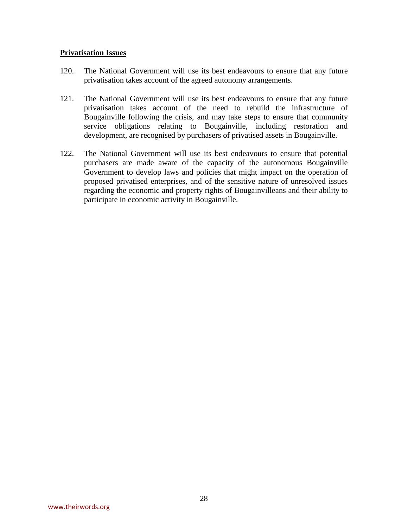#### <span id="page-28-0"></span>**Privatisation Issues**

- 120. The National Government will use its best endeavours to ensure that any future privatisation takes account of the agreed autonomy arrangements.
- 121. The National Government will use its best endeavours to ensure that any future privatisation takes account of the need to rebuild the infrastructure of Bougainville following the crisis, and may take steps to ensure that community service obligations relating to Bougainville, including restoration and development, are recognised by purchasers of privatised assets in Bougainville.
- 122. The National Government will use its best endeavours to ensure that potential purchasers are made aware of the capacity of the autonomous Bougainville Government to develop laws and policies that might impact on the operation of proposed privatised enterprises, and of the sensitive nature of unresolved issues regarding the economic and property rights of Bougainvilleans and their ability to participate in economic activity in Bougainville.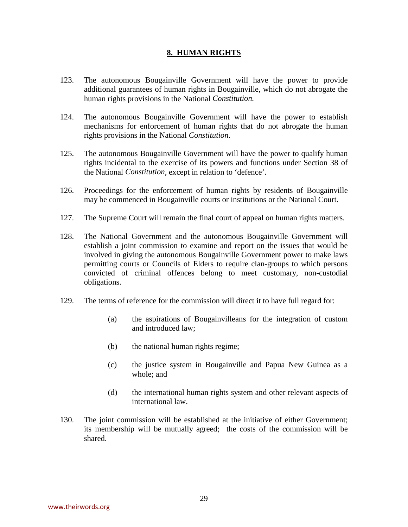# **8. HUMAN RIGHTS**

- <span id="page-29-0"></span>123. The autonomous Bougainville Government will have the power to provide additional guarantees of human rights in Bougainville, which do not abrogate the human rights provisions in the National *Constitution.*
- 124. The autonomous Bougainville Government will have the power to establish mechanisms for enforcement of human rights that do not abrogate the human rights provisions in the National *Constitution*.
- 125. The autonomous Bougainville Government will have the power to qualify human rights incidental to the exercise of its powers and functions under Section 38 of the National *Constitution*, except in relation to 'defence'.
- 126. Proceedings for the enforcement of human rights by residents of Bougainville may be commenced in Bougainville courts or institutions or the National Court.
- 127. The Supreme Court will remain the final court of appeal on human rights matters.
- 128. The National Government and the autonomous Bougainville Government will establish a joint commission to examine and report on the issues that would be involved in giving the autonomous Bougainville Government power to make laws permitting courts or Councils of Elders to require clan-groups to which persons convicted of criminal offences belong to meet customary, non-custodial obligations.
- 129. The terms of reference for the commission will direct it to have full regard for:
	- (a) the aspirations of Bougainvilleans for the integration of custom and introduced law;
	- (b) the national human rights regime;
	- (c) the justice system in Bougainville and Papua New Guinea as a whole; and
	- (d) the international human rights system and other relevant aspects of international law.
- 130. The joint commission will be established at the initiative of either Government; its membership will be mutually agreed; the costs of the commission will be shared.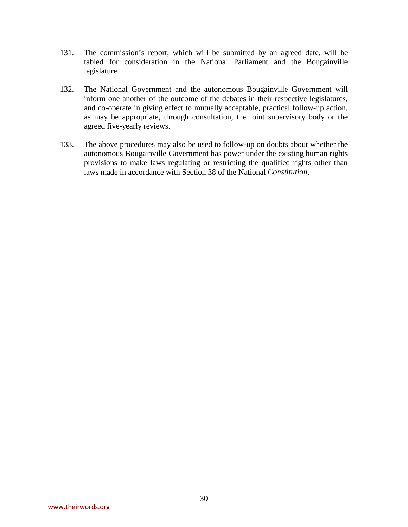- 131. The commission's report, which will be submitted by an agreed date, will be tabled for consideration in the National Parliament and the Bougainville legislature.
- 132. The National Government and the autonomous Bougainville Government will inform one another of the outcome of the debates in their respective legislatures, and co-operate in giving effect to mutually acceptable, practical follow-up action, as may be appropriate, through consultation, the joint supervisory body or the agreed five-yearly reviews.
- 133. The above procedures may also be used to follow-up on doubts about whether the autonomous Bougainville Government has power under the existing human rights provisions to make laws regulating or restricting the qualified rights other than laws made in accordance with Section 38 of the National *Constitution*.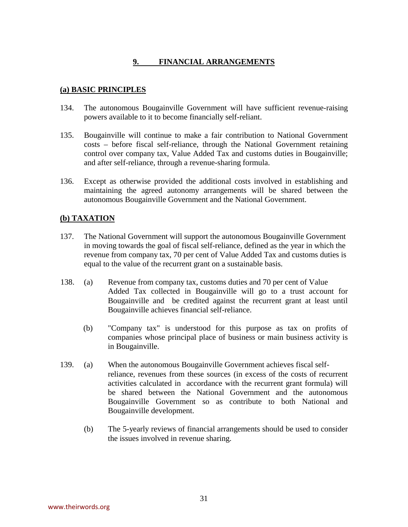# **9. FINANCIAL ARRANGEMENTS**

# <span id="page-31-0"></span>**(a) BASIC PRINCIPLES**

- 134. The autonomous Bougainville Government will have sufficient revenue-raising powers available to it to become financially self-reliant.
- 135. Bougainville will continue to make a fair contribution to National Government costs – before fiscal self-reliance, through the National Government retaining control over company tax, Value Added Tax and customs duties in Bougainville; and after self-reliance, through a revenue-sharing formula.
- 136. Except as otherwise provided the additional costs involved in establishing and maintaining the agreed autonomy arrangements will be shared between the autonomous Bougainville Government and the National Government.

# **(b) TAXATION**

- 137. The National Government will support the autonomous Bougainville Government in moving towards the goal of fiscal self-reliance, defined as the year in which the revenue from company tax, 70 per cent of Value Added Tax and customs duties is equal to the value of the recurrent grant on a sustainable basis.
- 138. (a) Revenue from company tax, customs duties and 70 per cent of Value Added Tax collected in Bougainville will go to a trust account for Bougainville and be credited against the recurrent grant at least until Bougainville achieves financial self-reliance.
	- (b) "Company tax" is understood for this purpose as tax on profits of companies whose principal place of business or main business activity is in Bougainville.
- 139. (a) When the autonomous Bougainville Government achieves fiscal selfreliance, revenues from these sources (in excess of the costs of recurrent activities calculated in accordance with the recurrent grant formula) will be shared between the National Government and the autonomous Bougainville Government so as contribute to both National and Bougainville development.
	- (b) The 5-yearly reviews of financial arrangements should be used to consider the issues involved in revenue sharing.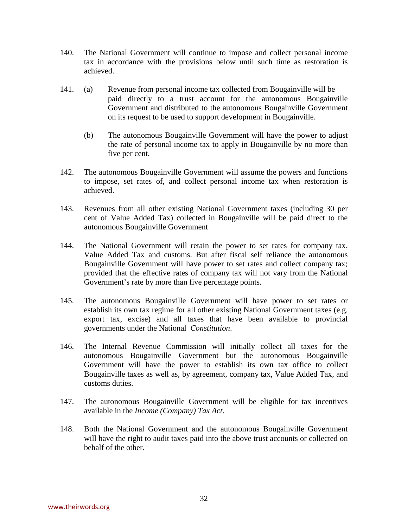- 140. The National Government will continue to impose and collect personal income tax in accordance with the provisions below until such time as restoration is achieved.
- 141. (a) Revenue from personal income tax collected from Bougainville will be paid directly to a trust account for the autonomous Bougainville Government and distributed to the autonomous Bougainville Government on its request to be used to support development in Bougainville.
	- (b) The autonomous Bougainville Government will have the power to adjust the rate of personal income tax to apply in Bougainville by no more than five per cent.
- 142. The autonomous Bougainville Government will assume the powers and functions to impose, set rates of, and collect personal income tax when restoration is achieved.
- 143. Revenues from all other existing National Government taxes (including 30 per cent of Value Added Tax) collected in Bougainville will be paid direct to the autonomous Bougainville Government
- 144. The National Government will retain the power to set rates for company tax, Value Added Tax and customs. But after fiscal self reliance the autonomous Bougainville Government will have power to set rates and collect company tax; provided that the effective rates of company tax will not vary from the National Government's rate by more than five percentage points.
- 145. The autonomous Bougainville Government will have power to set rates or establish its own tax regime for all other existing National Government taxes (e.g. export tax, excise) and all taxes that have been available to provincial governments under the National *Constitution*.
- 146. The Internal Revenue Commission will initially collect all taxes for the autonomous Bougainville Government but the autonomous Bougainville Government will have the power to establish its own tax office to collect Bougainville taxes as well as, by agreement, company tax, Value Added Tax, and customs duties.
- 147. The autonomous Bougainville Government will be eligible for tax incentives available in the *Income (Company) Tax Act*.
- 148. Both the National Government and the autonomous Bougainville Government will have the right to audit taxes paid into the above trust accounts or collected on behalf of the other.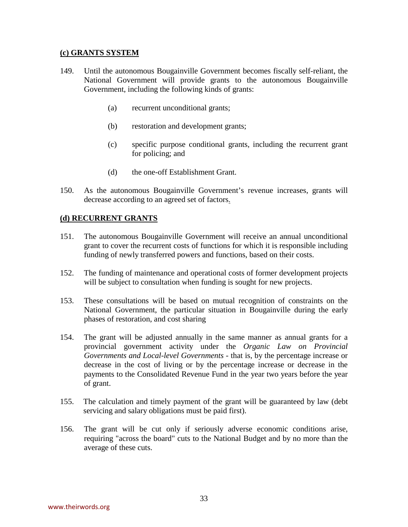#### <span id="page-33-0"></span>**(c) GRANTS SYSTEM**

- 149. Until the autonomous Bougainville Government becomes fiscally self-reliant, the National Government will provide grants to the autonomous Bougainville Government, including the following kinds of grants:
	- (a) recurrent unconditional grants;
	- (b) restoration and development grants;
	- (c) specific purpose conditional grants, including the recurrent grant for policing; and
	- (d) the one-off Establishment Grant.
- 150. As the autonomous Bougainville Government's revenue increases, grants will decrease according to an agreed set of factors.

#### **(d) RECURRENT GRANTS**

- 151. The autonomous Bougainville Government will receive an annual unconditional grant to cover the recurrent costs of functions for which it is responsible including funding of newly transferred powers and functions, based on their costs.
- 152. The funding of maintenance and operational costs of former development projects will be subject to consultation when funding is sought for new projects.
- 153. These consultations will be based on mutual recognition of constraints on the National Government, the particular situation in Bougainville during the early phases of restoration, and cost sharing
- 154. The grant will be adjusted annually in the same manner as annual grants for a provincial government activity under the *Organic Law on Provincial Governments and Local-level Governments* - that is, by the percentage increase or decrease in the cost of living or by the percentage increase or decrease in the payments to the Consolidated Revenue Fund in the year two years before the year of grant.
- 155. The calculation and timely payment of the grant will be guaranteed by law (debt servicing and salary obligations must be paid first).
- 156. The grant will be cut only if seriously adverse economic conditions arise, requiring "across the board" cuts to the National Budget and by no more than the average of these cuts.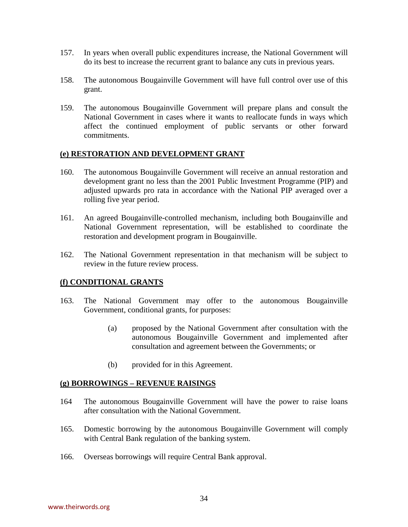- <span id="page-34-0"></span>157. In years when overall public expenditures increase, the National Government will do its best to increase the recurrent grant to balance any cuts in previous years.
- 158. The autonomous Bougainville Government will have full control over use of this grant.
- 159. The autonomous Bougainville Government will prepare plans and consult the National Government in cases where it wants to reallocate funds in ways which affect the continued employment of public servants or other forward commitments.

#### **(e) RESTORATION AND DEVELOPMENT GRANT**

- 160. The autonomous Bougainville Government will receive an annual restoration and development grant no less than the 2001 Public Investment Programme (PIP) and adjusted upwards pro rata in accordance with the National PIP averaged over a rolling five year period.
- 161. An agreed Bougainville-controlled mechanism, including both Bougainville and National Government representation, will be established to coordinate the restoration and development program in Bougainville.
- 162. The National Government representation in that mechanism will be subject to review in the future review process.

#### **(f) CONDITIONAL GRANTS**

- 163. The National Government may offer to the autonomous Bougainville Government, conditional grants, for purposes:
	- (a) proposed by the National Government after consultation with the autonomous Bougainville Government and implemented after consultation and agreement between the Governments; or
	- (b) provided for in this Agreement.

#### **(g) BORROWINGS – REVENUE RAISINGS**

- 164 The autonomous Bougainville Government will have the power to raise loans after consultation with the National Government.
- 165. Domestic borrowing by the autonomous Bougainville Government will comply with Central Bank regulation of the banking system.
- 166. Overseas borrowings will require Central Bank approval.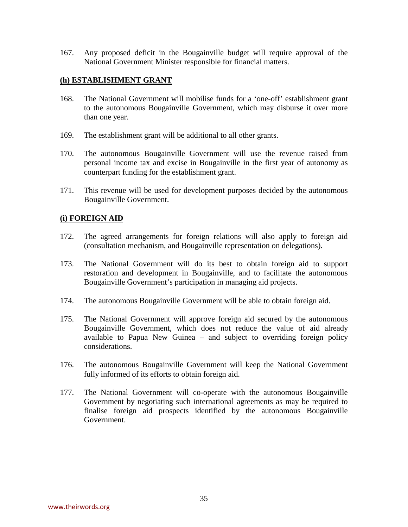<span id="page-35-0"></span>167. Any proposed deficit in the Bougainville budget will require approval of the National Government Minister responsible for financial matters.

#### **(h) ESTABLISHMENT GRANT**

- 168. The National Government will mobilise funds for a 'one-off' establishment grant to the autonomous Bougainville Government, which may disburse it over more than one year.
- 169. The establishment grant will be additional to all other grants.
- 170. The autonomous Bougainville Government will use the revenue raised from personal income tax and excise in Bougainville in the first year of autonomy as counterpart funding for the establishment grant.
- 171. This revenue will be used for development purposes decided by the autonomous Bougainville Government.

#### **(i) FOREIGN AID**

- 172. The agreed arrangements for foreign relations will also apply to foreign aid (consultation mechanism, and Bougainville representation on delegations).
- 173. The National Government will do its best to obtain foreign aid to support restoration and development in Bougainville, and to facilitate the autonomous Bougainville Government's participation in managing aid projects.
- 174. The autonomous Bougainville Government will be able to obtain foreign aid.
- 175. The National Government will approve foreign aid secured by the autonomous Bougainville Government, which does not reduce the value of aid already available to Papua New Guinea – and subject to overriding foreign policy considerations.
- 176. The autonomous Bougainville Government will keep the National Government fully informed of its efforts to obtain foreign aid.
- 177. The National Government will co-operate with the autonomous Bougainville Government by negotiating such international agreements as may be required to finalise foreign aid prospects identified by the autonomous Bougainville Government.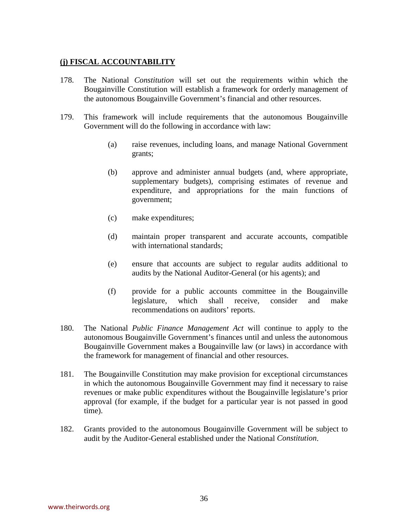# **(j) FISCAL ACCOUNTABILITY**

- 178. The National *Constitution* will set out the requirements within which the Bougainville Constitution will establish a framework for orderly management of the autonomous Bougainville Government's financial and other resources.
- 179. This framework will include requirements that the autonomous Bougainville Government will do the following in accordance with law:
	- (a) raise revenues, including loans, and manage National Government grants;
	- (b) approve and administer annual budgets (and, where appropriate, supplementary budgets), comprising estimates of revenue and expenditure, and appropriations for the main functions of government;
	- (c) make expenditures;
	- (d) maintain proper transparent and accurate accounts, compatible with international standards;
	- (e) ensure that accounts are subject to regular audits additional to audits by the National Auditor-General (or his agents); and
	- (f) provide for a public accounts committee in the Bougainville legislature, which shall receive, consider and make recommendations on auditors' reports.
- 180. The National *Public Finance Management Act* will continue to apply to the autonomous Bougainville Government's finances until and unless the autonomous Bougainville Government makes a Bougainville law (or laws) in accordance with the framework for management of financial and other resources.
- 181. The Bougainville Constitution may make provision for exceptional circumstances in which the autonomous Bougainville Government may find it necessary to raise revenues or make public expenditures without the Bougainville legislature's prior approval (for example, if the budget for a particular year is not passed in good time).
- 182. Grants provided to the autonomous Bougainville Government will be subject to audit by the Auditor-General established under the National *Constitution*.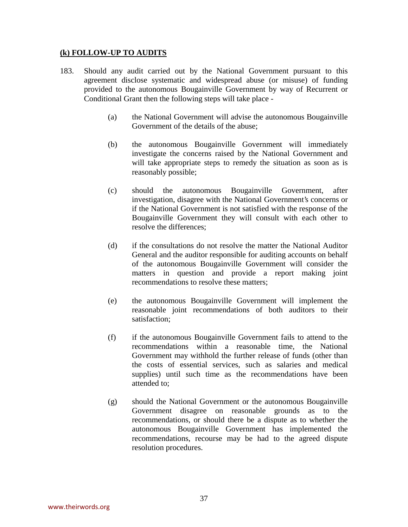# **(k) FOLLOW-UP TO AUDITS**

- 183. Should any audit carried out by the National Government pursuant to this agreement disclose systematic and widespread abuse (or misuse) of funding provided to the autonomous Bougainville Government by way of Recurrent or Conditional Grant then the following steps will take place -
	- (a) the National Government will advise the autonomous Bougainville Government of the details of the abuse;
	- (b) the autonomous Bougainville Government will immediately investigate the concerns raised by the National Government and will take appropriate steps to remedy the situation as soon as is reasonably possible;
	- (c) should the autonomous Bougainville Government, after investigation, disagree with the National Government's concerns or if the National Government is not satisfied with the response of the Bougainville Government they will consult with each other to resolve the differences;
	- (d) if the consultations do not resolve the matter the National Auditor General and the auditor responsible for auditing accounts on behalf of the autonomous Bougainville Government will consider the matters in question and provide a report making joint recommendations to resolve these matters;
	- (e) the autonomous Bougainville Government will implement the reasonable joint recommendations of both auditors to their satisfaction;
	- (f) if the autonomous Bougainville Government fails to attend to the recommendations within a reasonable time, the National Government may withhold the further release of funds (other than the costs of essential services, such as salaries and medical supplies) until such time as the recommendations have been attended to;
	- (g) should the National Government or the autonomous Bougainville Government disagree on reasonable grounds as to the recommendations, or should there be a dispute as to whether the autonomous Bougainville Government has implemented the recommendations, recourse may be had to the agreed dispute resolution procedures.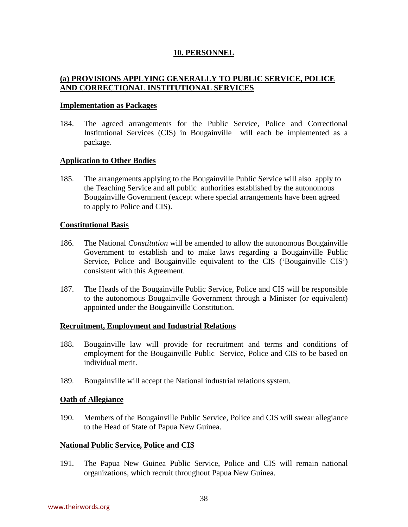# **10. PERSONNEL**

# **(a) PROVISIONS APPLYING GENERALLY TO PUBLIC SERVICE, POLICE AND CORRECTIONAL INSTITUTIONAL SERVICES**

#### **Implementation as Packages**

184. The agreed arrangements for the Public Service, Police and Correctional Institutional Services (CIS) in Bougainville will each be implemented as a package.

# **Application to Other Bodies**

185. The arrangements applying to the Bougainville Public Service will also apply to the Teaching Service and all public authorities established by the autonomous Bougainville Government (except where special arrangements have been agreed to apply to Police and CIS).

#### **Constitutional Basis**

- 186. The National *Constitution* will be amended to allow the autonomous Bougainville Government to establish and to make laws regarding a Bougainville Public Service, Police and Bougainville equivalent to the CIS ('Bougainville CIS') consistent with this Agreement.
- 187. The Heads of the Bougainville Public Service, Police and CIS will be responsible to the autonomous Bougainville Government through a Minister (or equivalent) appointed under the Bougainville Constitution.

# **Recruitment, Employment and Industrial Relations**

- 188. Bougainville law will provide for recruitment and terms and conditions of employment for the Bougainville Public Service, Police and CIS to be based on individual merit.
- 189. Bougainville will accept the National industrial relations system.

# **Oath of Allegiance**

190. Members of the Bougainville Public Service, Police and CIS will swear allegiance to the Head of State of Papua New Guinea.

# **National Public Service, Police and CIS**

191. The Papua New Guinea Public Service, Police and CIS will remain national organizations, which recruit throughout Papua New Guinea.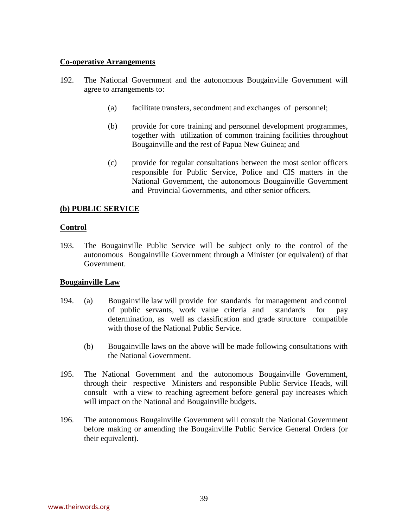# **Co-operative Arrangements**

- 192. The National Government and the autonomous Bougainville Government will agree to arrangements to:
	- (a) facilitate transfers, secondment and exchanges of personnel;
	- (b) provide for core training and personnel development programmes, together with utilization of common training facilities throughout Bougainville and the rest of Papua New Guinea; and
	- (c) provide for regular consultations between the most senior officers responsible for Public Service, Police and CIS matters in the National Government, the autonomous Bougainville Government and Provincial Governments, and other senior officers.

# **(b) PUBLIC SERVICE**

# **Control**

193. The Bougainville Public Service will be subject only to the control of the autonomous Bougainville Government through a Minister (or equivalent) of that Government.

# **Bougainville Law**

- 194. (a) Bougainville law will provide for standards for management and control of public servants, work value criteria and standards for pay determination, as well as classification and grade structure compatible with those of the National Public Service.
	- (b) Bougainville laws on the above will be made following consultations with the National Government.
- 195. The National Government and the autonomous Bougainville Government, through their respective Ministers and responsible Public Service Heads, will consult with a view to reaching agreement before general pay increases which will impact on the National and Bougainville budgets.
- 196. The autonomous Bougainville Government will consult the National Government before making or amending the Bougainville Public Service General Orders (or their equivalent).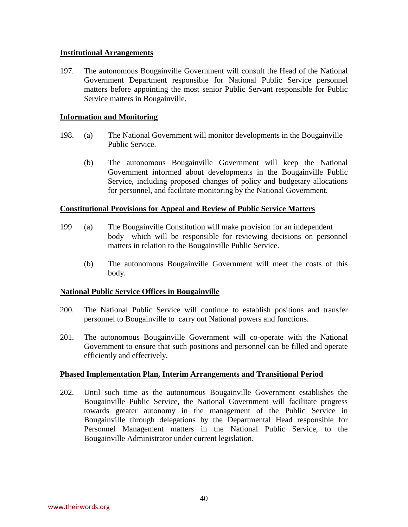# **Institutional Arrangements**

197. The autonomous Bougainville Government will consult the Head of the National Government Department responsible for National Public Service personnel matters before appointing the most senior Public Servant responsible for Public Service matters in Bougainville.

# **Information and Monitoring**

- 198. (a) The National Government will monitor developments in the Bougainville Public Service.
	- (b) The autonomous Bougainville Government will keep the National Government informed about developments in the Bougainville Public Service, including proposed changes of policy and budgetary allocations for personnel, and facilitate monitoring by the National Government.

#### **Constitutional Provisions for Appeal and Review of Public Service Matters**

- 199 (a) The Bougainville Constitution will make provision for an independent body which will be responsible for reviewing decisions on personnel matters in relation to the Bougainville Public Service.
	- (b) The autonomous Bougainville Government will meet the costs of this body.

#### **National Public Service Offices in Bougainville**

- 200. The National Public Service will continue to establish positions and transfer personnel to Bougainville to carry out National powers and functions.
- 201. The autonomous Bougainville Government will co-operate with the National Government to ensure that such positions and personnel can be filled and operate efficiently and effectively.

#### **Phased Implementation Plan, Interim Arrangements and Transitional Period**

202. Until such time as the autonomous Bougainville Government establishes the Bougainville Public Service, the National Government will facilitate progress towards greater autonomy in the management of the Public Service in Bougainville through delegations by the Departmental Head responsible for Personnel Management matters in the National Public Service, to the Bougainville Administrator under current legislation.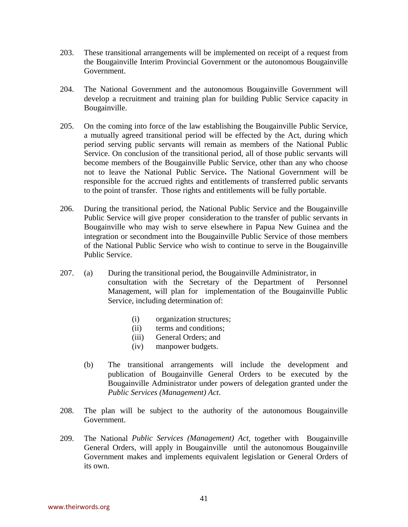- 203. These transitional arrangements will be implemented on receipt of a request from the Bougainville Interim Provincial Government or the autonomous Bougainville Government.
- 204. The National Government and the autonomous Bougainville Government will develop a recruitment and training plan for building Public Service capacity in Bougainville.
- 205. On the coming into force of the law establishing the Bougainville Public Service, a mutually agreed transitional period will be effected by the Act, during which period serving public servants will remain as members of the National Public Service. On conclusion of the transitional period, all of those public servants will become members of the Bougainville Public Service, other than any who choose not to leave the National Public Service**.** The National Government will be responsible for the accrued rights and entitlements of transferred public servants to the point of transfer. Those rights and entitlements will be fully portable.
- 206. During the transitional period, the National Public Service and the Bougainville Public Service will give proper consideration to the transfer of public servants in Bougainville who may wish to serve elsewhere in Papua New Guinea and the integration or secondment into the Bougainville Public Service of those members of the National Public Service who wish to continue to serve in the Bougainville Public Service.
- 207. (a) During the transitional period, the Bougainville Administrator, in consultation with the Secretary of the Department of Personnel Management, will plan for implementation of the Bougainville Public Service, including determination of:
	- (i) organization structures;
	- (ii) terms and conditions;
	- (iii) General Orders; and
	- (iv) manpower budgets.
	- (b) The transitional arrangements will include the development and publication of Bougainville General Orders to be executed by the Bougainville Administrator under powers of delegation granted under the *Public Services (Management) Act*.
- 208. The plan will be subject to the authority of the autonomous Bougainville Government.
- 209. The National *Public Services (Management) Act*, together with Bougainville General Orders, will apply in Bougainville until the autonomous Bougainville Government makes and implements equivalent legislation or General Orders of its own.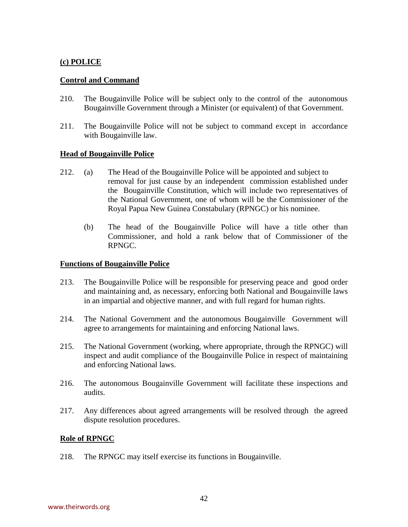# **(c) POLICE**

# **Control and Command**

- 210. The Bougainville Police will be subject only to the control of the autonomous Bougainville Government through a Minister (or equivalent) of that Government.
- 211. The Bougainville Police will not be subject to command except in accordance with Bougainville law.

# **Head of Bougainville Police**

- 212.(a) The Head of the Bougainville Police will be appointed and subject to removal for just cause by an independent commission established under the Bougainville Constitution, which will include two representatives of the National Government, one of whom will be the Commissioner of the Royal Papua New Guinea Constabulary (RPNGC) or his nominee.
	- (b) The head of the Bougainville Police will have a title other than Commissioner, and hold a rank below that of Commissioner of the RPNGC.

#### **Functions of Bougainville Police**

- 213.The Bougainville Police will be responsible for preserving peace and good order and maintaining and, as necessary, enforcing both National and Bougainville laws in an impartial and objective manner, and with full regard for human rights.
- 214. The National Government and the autonomous Bougainville Government will agree to arrangements for maintaining and enforcing National laws.
- 215. The National Government (working, where appropriate, through the RPNGC) will inspect and audit compliance of the Bougainville Police in respect of maintaining and enforcing National laws.
- 216. The autonomous Bougainville Government will facilitate these inspections and audits.
- 217. Any differences about agreed arrangements will be resolved through the agreed dispute resolution procedures.

# **Role of RPNGC**

218. The RPNGC may itself exercise its functions in Bougainville.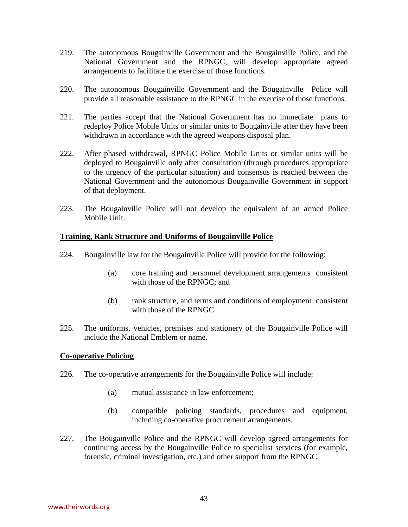- 219. The autonomous Bougainville Government and the Bougainville Police, and the National Government and the RPNGC, will develop appropriate agreed arrangements to facilitate the exercise of those functions.
- 220. The autonomous Bougainville Government and the Bougainville Police will provide all reasonable assistance to the RPNGC in the exercise of those functions.
- 221. The parties accept that the National Government has no immediate plans to redeploy Police Mobile Units or similar units to Bougainville after they have been withdrawn in accordance with the agreed weapons disposal plan.
- 222. After phased withdrawal, RPNGC Police Mobile Units or similar units will be deployed to Bougainville only after consultation (through procedures appropriate to the urgency of the particular situation) and consensus is reached between the National Government and the autonomous Bougainville Government in support of that deployment.
- 223. The Bougainville Police will not develop the equivalent of an armed Police Mobile Unit.

# **Training, Rank Structure and Uniforms of Bougainville Police**

- 224. Bougainville law for the Bougainville Police will provide for the following:
	- (a) core training and personnel development arrangements consistent with those of the RPNGC; and
	- (b) rank structure, and terms and conditions of employment consistent with those of the RPNGC.
- 225. The uniforms, vehicles, premises and stationery of the Bougainville Police will include the National Emblem or name.

# **Co-operative Policing**

- 226.The co-operative arrangements for the Bougainville Police will include:
	- (a) mutual assistance in law enforcement;
	- (b) compatible policing standards, procedures and equipment, including co-operative procurement arrangements.
- 227. The Bougainville Police and the RPNGC will develop agreed arrangements for continuing access by the Bougainville Police to specialist services (for example, forensic, criminal investigation, etc.) and other support from the RPNGC.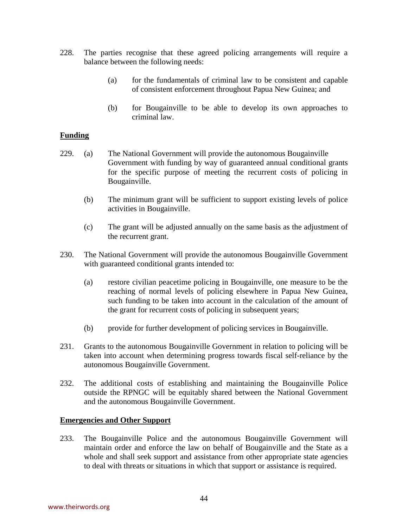- 228. The parties recognise that these agreed policing arrangements will require a balance between the following needs:
	- (a) for the fundamentals of criminal law to be consistent and capable of consistent enforcement throughout Papua New Guinea; and
	- (b) for Bougainville to be able to develop its own approaches to criminal law.

# **Funding**

- 229.(a) The National Government will provide the autonomous Bougainville Government with funding by way of guaranteed annual conditional grants for the specific purpose of meeting the recurrent costs of policing in Bougainville.
	- (b) The minimum grant will be sufficient to support existing levels of police activities in Bougainville.
	- (c) The grant will be adjusted annually on the same basis as the adjustment of the recurrent grant.
- 230. The National Government will provide the autonomous Bougainville Government with guaranteed conditional grants intended to:
	- (a) restore civilian peacetime policing in Bougainville, one measure to be the reaching of normal levels of policing elsewhere in Papua New Guinea, such funding to be taken into account in the calculation of the amount of the grant for recurrent costs of policing in subsequent years;
	- (b) provide for further development of policing services in Bougainville.
- 231. Grants to the autonomous Bougainville Government in relation to policing will be taken into account when determining progress towards fiscal self-reliance by the autonomous Bougainville Government.
- 232.The additional costs of establishing and maintaining the Bougainville Police outside the RPNGC will be equitably shared between the National Government and the autonomous Bougainville Government.

# **Emergencies and Other Support**

233.The Bougainville Police and the autonomous Bougainville Government will maintain order and enforce the law on behalf of Bougainville and the State as a whole and shall seek support and assistance from other appropriate state agencies to deal with threats or situations in which that support or assistance is required.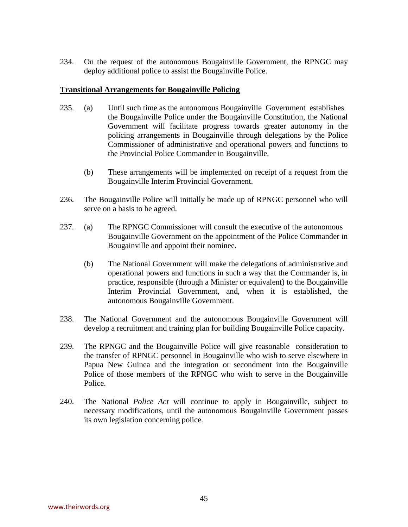234. On the request of the autonomous Bougainville Government, the RPNGC may deploy additional police to assist the Bougainville Police.

#### **Transitional Arrangements for Bougainville Policing**

- 235. (a) Until such time as the autonomous Bougainville Government establishes the Bougainville Police under the Bougainville Constitution, the National Government will facilitate progress towards greater autonomy in the policing arrangements in Bougainville through delegations by the Police Commissioner of administrative and operational powers and functions to the Provincial Police Commander in Bougainville.
	- (b) These arrangements will be implemented on receipt of a request from the Bougainville Interim Provincial Government.
- 236. The Bougainville Police will initially be made up of RPNGC personnel who will serve on a basis to be agreed.
- 237. (a) The RPNGC Commissioner will consult the executive of the autonomous Bougainville Government on the appointment of the Police Commander in Bougainville and appoint their nominee.
	- (b) The National Government will make the delegations of administrative and operational powers and functions in such a way that the Commander is, in practice, responsible (through a Minister or equivalent) to the Bougainville Interim Provincial Government, and, when it is established, the autonomous Bougainville Government.
- 238. The National Government and the autonomous Bougainville Government will develop a recruitment and training plan for building Bougainville Police capacity.
- 239. The RPNGC and the Bougainville Police will give reasonable consideration to the transfer of RPNGC personnel in Bougainville who wish to serve elsewhere in Papua New Guinea and the integration or secondment into the Bougainville Police of those members of the RPNGC who wish to serve in the Bougainville Police.
- 240. The National *Police Act* will continue to apply in Bougainville, subject to necessary modifications, until the autonomous Bougainville Government passes its own legislation concerning police.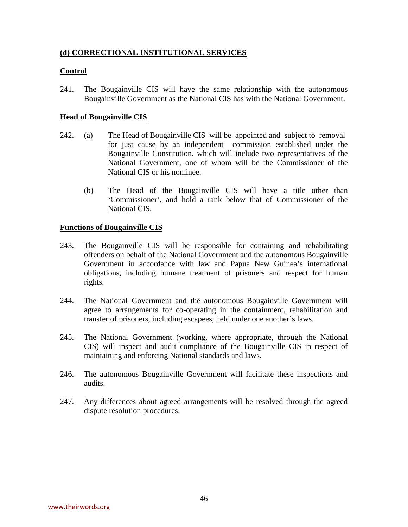# **(d) CORRECTIONAL INSTITUTIONAL SERVICES**

# **Control**

241. The Bougainville CIS will have the same relationship with the autonomous Bougainville Government as the National CIS has with the National Government.

# **Head of Bougainville CIS**

- 242.(a) The Head of Bougainville CIS will be appointed and subject to removal for just cause by an independent commission established under the Bougainville Constitution, which will include two representatives of the National Government, one of whom will be the Commissioner of the National CIS or his nominee.
	- (b) The Head of the Bougainville CIS will have a title other than 'Commissioner', and hold a rank below that of Commissioner of the National CIS.

# **Functions of Bougainville CIS**

- 243. The Bougainville CIS will be responsible for containing and rehabilitating offenders on behalf of the National Government and the autonomous Bougainville Government in accordance with law and Papua New Guinea's international obligations, including humane treatment of prisoners and respect for human rights.
- 244. The National Government and the autonomous Bougainville Government will agree to arrangements for co-operating in the containment, rehabilitation and transfer of prisoners, including escapees, held under one another's laws.
- 245. The National Government (working, where appropriate, through the National CIS) will inspect and audit compliance of the Bougainville CIS in respect of maintaining and enforcing National standards and laws.
- 246. The autonomous Bougainville Government will facilitate these inspections and audits.
- 247. Any differences about agreed arrangements will be resolved through the agreed dispute resolution procedures.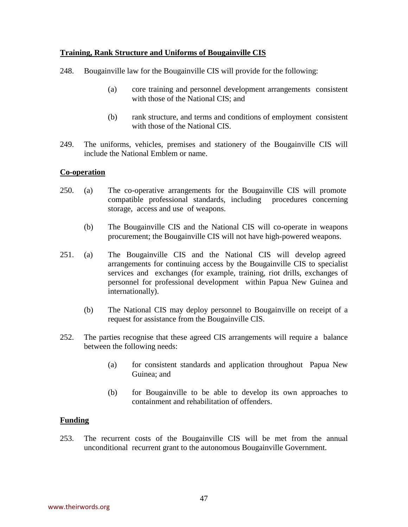# **Training, Rank Structure and Uniforms of Bougainville CIS**

- 248. Bougainville law for the Bougainville CIS will provide for the following:
	- (a) core training and personnel development arrangements consistent with those of the National CIS; and
	- (b) rank structure, and terms and conditions of employment consistent with those of the National CIS.
- 249. The uniforms, vehicles, premises and stationery of the Bougainville CIS will include the National Emblem or name.

# **Co-operation**

- 250.(a) The co-operative arrangements for the Bougainville CIS will promote compatible professional standards, including procedures concerning storage, access and use of weapons.
	- (b) The Bougainville CIS and the National CIS will co-operate in weapons procurement; the Bougainville CIS will not have high-powered weapons.
- 251. (a) The Bougainville CIS and the National CIS will develop agreed arrangements for continuing access by the Bougainville CIS to specialist services and exchanges (for example, training, riot drills, exchanges of personnel for professional development within Papua New Guinea and internationally).
	- (b) The National CIS may deploy personnel to Bougainville on receipt of a request for assistance from the Bougainville CIS.
- 252. The parties recognise that these agreed CIS arrangements will require a balance between the following needs:
	- (a) for consistent standards and application throughout Papua New Guinea; and
	- (b) for Bougainville to be able to develop its own approaches to containment and rehabilitation of offenders.

# **Funding**

253. The recurrent costs of the Bougainville CIS will be met from the annual unconditional recurrent grant to the autonomous Bougainville Government.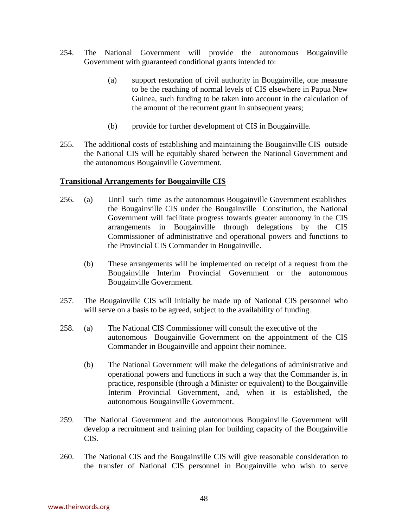- 254. The National Government will provide the autonomous Bougainville Government with guaranteed conditional grants intended to:
	- (a) support restoration of civil authority in Bougainville, one measure to be the reaching of normal levels of CIS elsewhere in Papua New Guinea, such funding to be taken into account in the calculation of the amount of the recurrent grant in subsequent years;
	- (b) provide for further development of CIS in Bougainville.
- 255. The additional costs of establishing and maintaining the Bougainville CIS outside the National CIS will be equitably shared between the National Government and the autonomous Bougainville Government.

#### **Transitional Arrangements for Bougainville CIS**

- 256. (a) Until such time as the autonomous Bougainville Government establishes the Bougainville CIS under the Bougainville Constitution, the National Government will facilitate progress towards greater autonomy in the CIS arrangements in Bougainville through delegations by the CIS Commissioner of administrative and operational powers and functions to the Provincial CIS Commander in Bougainville.
	- (b) These arrangements will be implemented on receipt of a request from the Bougainville Interim Provincial Government or the autonomous Bougainville Government.
- 257. The Bougainville CIS will initially be made up of National CIS personnel who will serve on a basis to be agreed, subject to the availability of funding.
- 258. (a) The National CIS Commissioner will consult the executive of the autonomous Bougainville Government on the appointment of the CIS Commander in Bougainville and appoint their nominee.
	- (b) The National Government will make the delegations of administrative and operational powers and functions in such a way that the Commander is, in practice, responsible (through a Minister or equivalent) to the Bougainville Interim Provincial Government, and, when it is established, the autonomous Bougainville Government.
- 259. The National Government and the autonomous Bougainville Government will develop a recruitment and training plan for building capacity of the Bougainville CIS.
- 260. The National CIS and the Bougainville CIS will give reasonable consideration to the transfer of National CIS personnel in Bougainville who wish to serve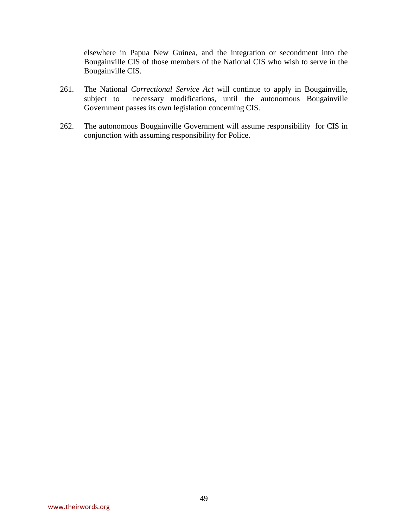elsewhere in Papua New Guinea, and the integration or secondment into the Bougainville CIS of those members of the National CIS who wish to serve in the Bougainville CIS.

- 261. The National *Correctional Service Act* will continue to apply in Bougainville, subject to necessary modifications, until the autonomous Bougainville Government passes its own legislation concerning CIS.
- 262. The autonomous Bougainville Government will assume responsibility for CIS in conjunction with assuming responsibility for Police.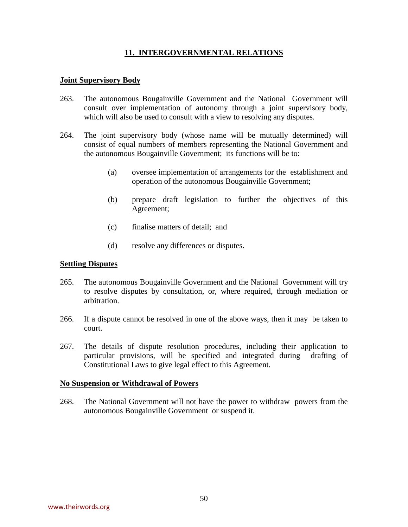# **11. INTERGOVERNMENTAL RELATIONS**

#### **Joint Supervisory Body**

- 263. The autonomous Bougainville Government and the National Government will consult over implementation of autonomy through a joint supervisory body, which will also be used to consult with a view to resolving any disputes.
- 264. The joint supervisory body (whose name will be mutually determined) will consist of equal numbers of members representing the National Government and the autonomous Bougainville Government; its functions will be to:
	- (a) oversee implementation of arrangements for the establishment and operation of the autonomous Bougainville Government;
	- (b) prepare draft legislation to further the objectives of this Agreement;
	- (c) finalise matters of detail; and
	- (d) resolve any differences or disputes.

# **Settling Disputes**

- 265. The autonomous Bougainville Government and the National Government will try to resolve disputes by consultation, or, where required, through mediation or arbitration.
- 266. If a dispute cannot be resolved in one of the above ways, then it may be taken to court.
- 267. The details of dispute resolution procedures, including their application to particular provisions, will be specified and integrated during drafting of Constitutional Laws to give legal effect to this Agreement.

#### **No Suspension or Withdrawal of Powers**

268. The National Government will not have the power to withdraw powers from the autonomous Bougainville Government or suspend it.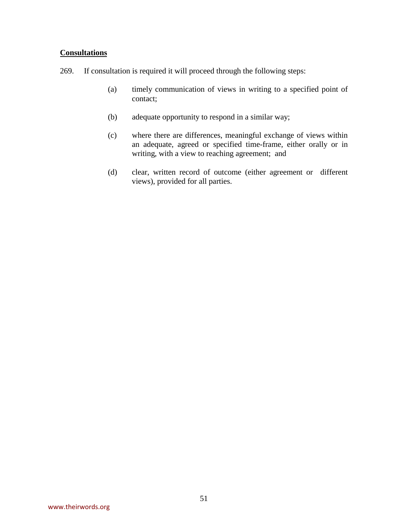# **Consultations**

- 269. If consultation is required it will proceed through the following steps:
	- (a) timely communication of views in writing to a specified point of contact;
	- (b) adequate opportunity to respond in a similar way;
	- (c) where there are differences, meaningful exchange of views within an adequate, agreed or specified time-frame, either orally or in writing, with a view to reaching agreement; and
	- (d) clear, written record of outcome (either agreement or different views), provided for all parties.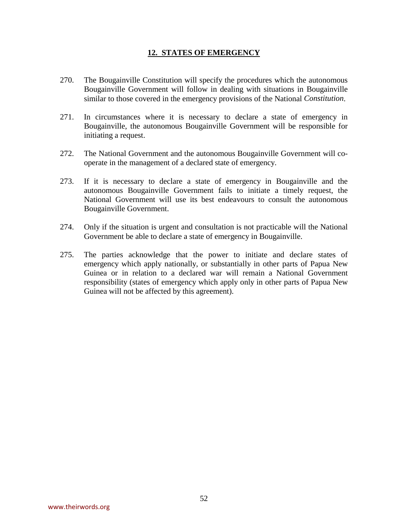# **12. STATES OF EMERGENCY**

- 270. The Bougainville Constitution will specify the procedures which the autonomous Bougainville Government will follow in dealing with situations in Bougainville similar to those covered in the emergency provisions of the National *Constitution*.
- 271. In circumstances where it is necessary to declare a state of emergency in Bougainville, the autonomous Bougainville Government will be responsible for initiating a request.
- 272. The National Government and the autonomous Bougainville Government will cooperate in the management of a declared state of emergency.
- 273. If it is necessary to declare a state of emergency in Bougainville and the autonomous Bougainville Government fails to initiate a timely request, the National Government will use its best endeavours to consult the autonomous Bougainville Government.
- 274. Only if the situation is urgent and consultation is not practicable will the National Government be able to declare a state of emergency in Bougainville.
- 275. The parties acknowledge that the power to initiate and declare states of emergency which apply nationally, or substantially in other parts of Papua New Guinea or in relation to a declared war will remain a National Government responsibility (states of emergency which apply only in other parts of Papua New Guinea will not be affected by this agreement).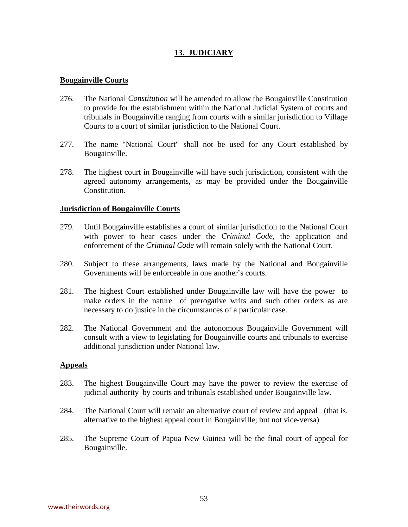# **13. JUDICIARY**

#### **Bougainville Courts**

- 276. The National *Constitution* will be amended to allow the Bougainville Constitution to provide for the establishment within the National Judicial System of courts and tribunals in Bougainville ranging from courts with a similar jurisdiction to Village Courts to a court of similar jurisdiction to the National Court.
- 277. The name "National Court" shall not be used for any Court established by Bougainville.
- 278. The highest court in Bougainville will have such jurisdiction, consistent with the agreed autonomy arrangements, as may be provided under the Bougainville Constitution.

#### **Jurisdiction of Bougainville Courts**

- 279. Until Bougainville establishes a court of similar jurisdiction to the National Court with power to hear cases under the *Criminal Code*, the application and enforcement of the *Criminal Code* will remain solely with the National Court.
- 280. Subject to these arrangements, laws made by the National and Bougainville Governments will be enforceable in one another's courts.
- 281. The highest Court established under Bougainville law will have the power to make orders in the nature of prerogative writs and such other orders as are necessary to do justice in the circumstances of a particular case.
- 282. The National Government and the autonomous Bougainville Government will consult with a view to legislating for Bougainville courts and tribunals to exercise additional jurisdiction under National law.

#### **Appeals**

- 283. The highest Bougainville Court may have the power to review the exercise of judicial authority by courts and tribunals established under Bougainville law.
- 284. The National Court will remain an alternative court of review and appeal (that is, alternative to the highest appeal court in Bougainville; but not vice-versa)
- 285. The Supreme Court of Papua New Guinea will be the final court of appeal for Bougainville.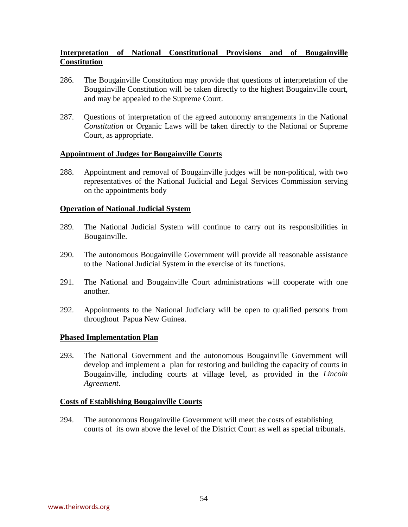# **Interpretation of National Constitutional Provisions and of Bougainville Constitution**

- 286. The Bougainville Constitution may provide that questions of interpretation of the Bougainville Constitution will be taken directly to the highest Bougainville court, and may be appealed to the Supreme Court.
- 287. Questions of interpretation of the agreed autonomy arrangements in the National *Constitution* or Organic Laws will be taken directly to the National or Supreme Court, as appropriate.

#### **Appointment of Judges for Bougainville Courts**

288. Appointment and removal of Bougainville judges will be non-political, with two representatives of the National Judicial and Legal Services Commission serving on the appointments body

#### **Operation of National Judicial System**

- 289. The National Judicial System will continue to carry out its responsibilities in Bougainville.
- 290. The autonomous Bougainville Government will provide all reasonable assistance to the National Judicial System in the exercise of its functions.
- 291. The National and Bougainville Court administrations will cooperate with one another.
- 292. Appointments to the National Judiciary will be open to qualified persons from throughout Papua New Guinea.

# **Phased Implementation Plan**

293. The National Government and the autonomous Bougainville Government will develop and implement a plan for restoring and building the capacity of courts in Bougainville, including courts at village level, as provided in the *Lincoln Agreement*.

#### **Costs of Establishing Bougainville Courts**

294. The autonomous Bougainville Government will meet the costs of establishing courts of its own above the level of the District Court as well as special tribunals.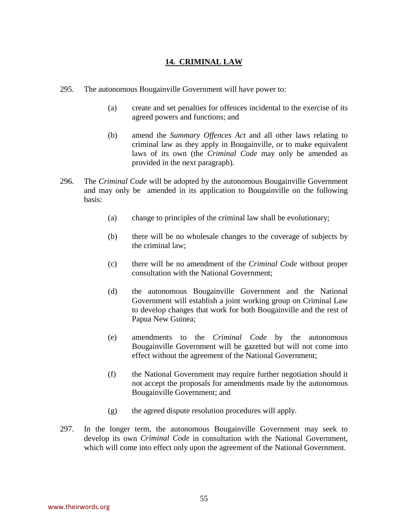# **14. CRIMINAL LAW**

- 295. The autonomous Bougainville Government will have power to:
	- (a) create and set penalties for offences incidental to the exercise of its agreed powers and functions; and
	- (b) amend the *Summary Offences Act* and all other laws relating to criminal law as they apply in Bougainville, or to make equivalent laws of its own (the *Criminal Code* may only be amended as provided in the next paragraph).
- 296. The *Criminal Code* will be adopted by the autonomous Bougainville Government and may only be amended in its application to Bougainville on the following basis:
	- (a) change to principles of the criminal law shall be evolutionary;
	- (b) there will be no wholesale changes to the coverage of subjects by the criminal law;
	- (c) there will be no amendment of the *Criminal Code* without proper consultation with the National Government;
	- (d) the autonomous Bougainville Government and the National Government will establish a joint working group on Criminal Law to develop changes that work for both Bougainville and the rest of Papua New Guinea;
	- (e) amendments to the *Criminal Code* by the autonomous Bougainville Government will be gazetted but will not come into effect without the agreement of the National Government;
	- (f) the National Government may require further negotiation should it not accept the proposals for amendments made by the autonomous Bougainville Government; and
	- (g) the agreed dispute resolution procedures will apply.
- 297. In the longer term, the autonomous Bougainville Government may seek to develop its own *Criminal Code* in consultation with the National Government, which will come into effect only upon the agreement of the National Government.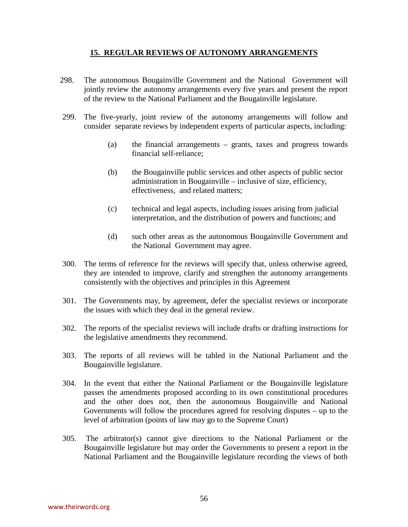# **15. REGULAR REVIEWS OF AUTONOMY ARRANGEMENTS**

- 298. The autonomous Bougainville Government and the National Government will jointly review the autonomy arrangements every five years and present the report of the review to the National Parliament and the Bougainville legislature.
- 299. The five-yearly, joint review of the autonomy arrangements will follow and consider separate reviews by independent experts of particular aspects, including:
	- (a) the financial arrangements grants, taxes and progress towards financial self-reliance;
	- (b) the Bougainville public services and other aspects of public sector administration in Bougainville – inclusive of size, efficiency, effectiveness, and related matters;
	- (c) technical and legal aspects, including issues arising from judicial interpretation, and the distribution of powers and functions; and
	- (d) such other areas as the autonomous Bougainville Government and the National Government may agree.
- 300. The terms of reference for the reviews will specify that, unless otherwise agreed, they are intended to improve, clarify and strengthen the autonomy arrangements consistently with the objectives and principles in this Agreement
- 301. The Governments may, by agreement, defer the specialist reviews or incorporate the issues with which they deal in the general review.
- 302. The reports of the specialist reviews will include drafts or drafting instructions for the legislative amendments they recommend.
- 303. The reports of all reviews will be tabled in the National Parliament and the Bougainville legislature.
- 304. In the event that either the National Parliament or the Bougainville legislature passes the amendments proposed according to its own constitutional procedures and the other does not, then the autonomous Bougainville and National Governments will follow the procedures agreed for resolving disputes – up to the level of arbitration (points of law may go to the Supreme Court)
- 305. The arbitrator(s) cannot give directions to the National Parliament or the Bougainville legislature but may order the Governments to present a report in the National Parliament and the Bougainville legislature recording the views of both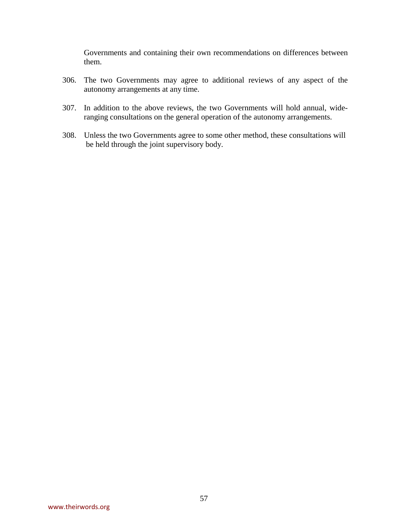Governments and containing their own recommendations on differences between them.

- 306. The two Governments may agree to additional reviews of any aspect of the autonomy arrangements at any time.
- 307. In addition to the above reviews, the two Governments will hold annual, wideranging consultations on the general operation of the autonomy arrangements.
- 308. Unless the two Governments agree to some other method, these consultations will be held through the joint supervisory body.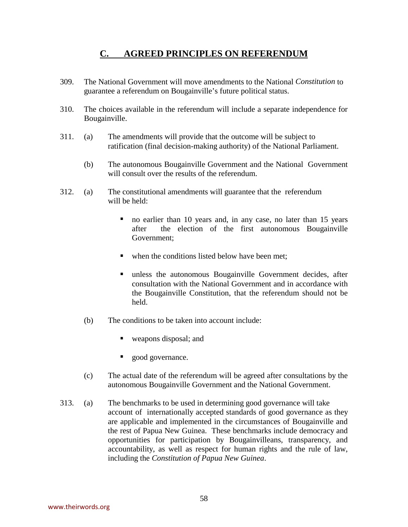# **C. AGREED PRINCIPLES ON REFERENDUM**

- 309. The National Government will move amendments to the National *Constitution* to guarantee a referendum on Bougainville's future political status.
- 310. The choices available in the referendum will include a separate independence for Bougainville.
- 311. (a) The amendments will provide that the outcome will be subject to ratification (final decision-making authority) of the National Parliament.
	- (b) The autonomous Bougainville Government and the National Government will consult over the results of the referendum.
- 312. (a) The constitutional amendments will guarantee that the referendum will be held:
	- no earlier than 10 years and, in any case, no later than 15 years after the election of the first autonomous Bougainville Government;
	- when the conditions listed below have been met;
	- $\blacksquare$  unless the autonomous Bougainville Government decides, after consultation with the National Government and in accordance with the Bougainville Constitution, that the referendum should not be held.
	- (b) The conditions to be taken into account include:
		- weapons disposal; and
		- good governance.
	- (c) The actual date of the referendum will be agreed after consultations by the autonomous Bougainville Government and the National Government.
- 313. (a) The benchmarks to be used in determining good governance will take account of internationally accepted standards of good governance as they are applicable and implemented in the circumstances of Bougainville and the rest of Papua New Guinea. These benchmarks include democracy and opportunities for participation by Bougainvilleans, transparency, and accountability, as well as respect for human rights and the rule of law, including the *Constitution of Papua New Guinea*.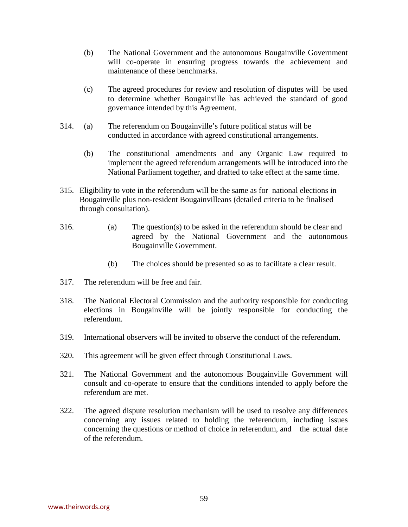- (b) The National Government and the autonomous Bougainville Government will co-operate in ensuring progress towards the achievement and maintenance of these benchmarks.
- (c) The agreed procedures for review and resolution of disputes will be used to determine whether Bougainville has achieved the standard of good governance intended by this Agreement.
- 314. (a) The referendum on Bougainville's future political status will be conducted in accordance with agreed constitutional arrangements.
	- (b) The constitutional amendments and any Organic Law required to implement the agreed referendum arrangements will be introduced into the National Parliament together, and drafted to take effect at the same time.
- 315. Eligibility to vote in the referendum will be the same as for national elections in Bougainville plus non-resident Bougainvilleans (detailed criteria to be finalised through consultation).
- 316. (a) The question(s) to be asked in the referendum should be clear and agreed by the National Government and the autonomous Bougainville Government.
	- (b) The choices should be presented so as to facilitate a clear result.
- 317. The referendum will be free and fair.
- 318. The National Electoral Commission and the authority responsible for conducting elections in Bougainville will be jointly responsible for conducting the referendum.
- 319. International observers will be invited to observe the conduct of the referendum.
- 320. This agreement will be given effect through Constitutional Laws.
- 321. The National Government and the autonomous Bougainville Government will consult and co-operate to ensure that the conditions intended to apply before the referendum are met.
- 322. The agreed dispute resolution mechanism will be used to resolve any differences concerning any issues related to holding the referendum, including issues concerning the questions or method of choice in referendum, and the actual date of the referendum.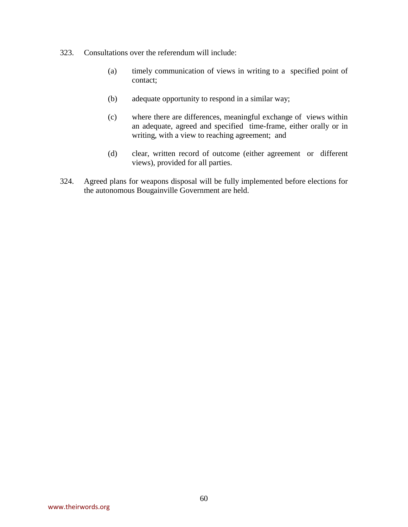- 323. Consultations over the referendum will include:
	- (a) timely communication of views in writing to a specified point of contact;
	- (b) adequate opportunity to respond in a similar way;
	- (c) where there are differences, meaningful exchange of views within an adequate, agreed and specified time-frame, either orally or in writing, with a view to reaching agreement; and
	- (d) clear, written record of outcome (either agreement or different views), provided for all parties.
- 324. Agreed plans for weapons disposal will be fully implemented before elections for the autonomous Bougainville Government are held.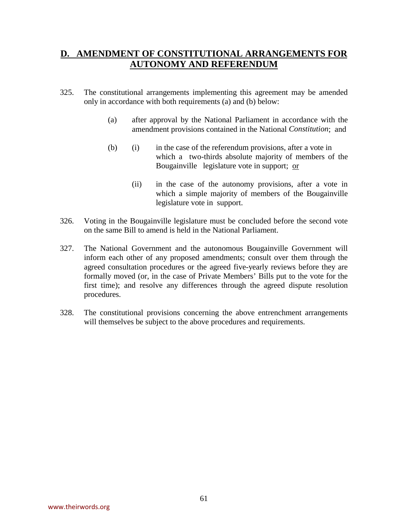# **D. AMENDMENT OF CONSTITUTIONAL ARRANGEMENTS FOR AUTONOMY AND REFERENDUM**

- 325. The constitutional arrangements implementing this agreement may be amended only in accordance with both requirements (a) and (b) below:
	- (a) after approval by the National Parliament in accordance with the amendment provisions contained in the National *Constitution*; and
	- (b) (i) in the case of the referendum provisions, after a vote in which a two-thirds absolute majority of members of the Bougainville legislature vote in support; or
		- (ii) in the case of the autonomy provisions, after a vote in which a simple majority of members of the Bougainville legislature vote in support.
- 326. Voting in the Bougainville legislature must be concluded before the second vote on the same Bill to amend is held in the National Parliament.
- 327. The National Government and the autonomous Bougainville Government will inform each other of any proposed amendments; consult over them through the agreed consultation procedures or the agreed five-yearly reviews before they are formally moved (or, in the case of Private Members' Bills put to the vote for the first time); and resolve any differences through the agreed dispute resolution procedures.
- 328. The constitutional provisions concerning the above entrenchment arrangements will themselves be subject to the above procedures and requirements.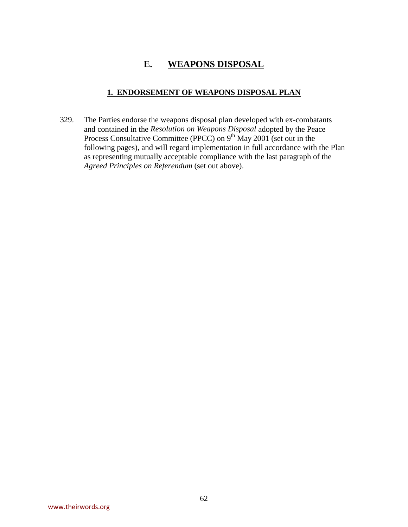# **E. WEAPONS DISPOSAL**

# **1. ENDORSEMENT OF WEAPONS DISPOSAL PLAN**

329. The Parties endorse the weapons disposal plan developed with ex-combatants and contained in the *Resolution on Weapons Disposal* adopted by the Peace Process Consultative Committee (PPCC) on 9<sup>th</sup> May 2001 (set out in the following pages), and will regard implementation in full accordance with the Plan as representing mutually acceptable compliance with the last paragraph of the *Agreed Principles on Referendum* (set out above).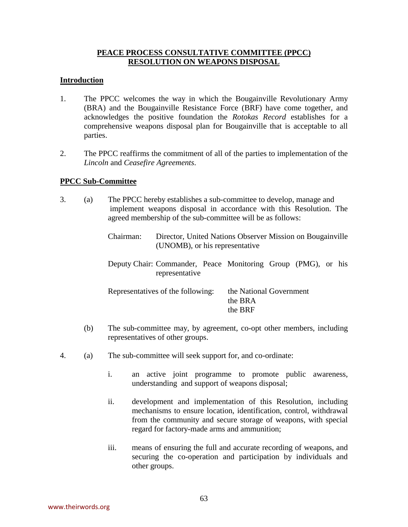# **PEACE PROCESS CONSULTATIVE COMMITTEE (PPCC) RESOLUTION ON WEAPONS DISPOSAL**

# **Introduction**

- 1. The PPCC welcomes the way in which the Bougainville Revolutionary Army (BRA) and the Bougainville Resistance Force (BRF) have come together, and acknowledges the positive foundation the *Rotokas Record* establishes for a comprehensive weapons disposal plan for Bougainville that is acceptable to all parties.
- 2. The PPCC reaffirms the commitment of all of the parties to implementation of the *Lincoln* and *Ceasefire Agreements*.

# **PPCC Sub-Committee**

- 3. (a) The PPCC hereby establishes a sub-committee to develop, manage and implement weapons disposal in accordance with this Resolution. The agreed membership of the sub-committee will be as follows:
	- Chairman: Director, United Nations Observer Mission on Bougainville (UNOMB), or his representative
	- Deputy Chair: Commander, Peace Monitoring Group (PMG), or his representative

| Representatives of the following: | the National Government |
|-----------------------------------|-------------------------|
|                                   | the BRA                 |
|                                   | the BRF                 |

- (b) The sub-committee may, by agreement, co-opt other members, including representatives of other groups.
- 4. (a) The sub-committee will seek support for, and co-ordinate:
	- i. an active joint programme to promote public awareness, understanding and support of weapons disposal;
	- ii. development and implementation of this Resolution, including mechanisms to ensure location, identification, control, withdrawal from the community and secure storage of weapons, with special regard for factory-made arms and ammunition;
	- iii. means of ensuring the full and accurate recording of weapons, and securing the co-operation and participation by individuals and other groups.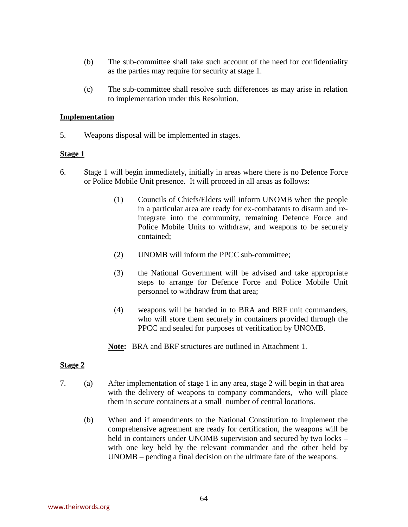- (b) The sub-committee shall take such account of the need for confidentiality as the parties may require for security at stage 1.
- (c) The sub-committee shall resolve such differences as may arise in relation to implementation under this Resolution.

#### **Implementation**

5. Weapons disposal will be implemented in stages.

#### **Stage 1**

- 6. Stage 1 will begin immediately, initially in areas where there is no Defence Force or Police Mobile Unit presence. It will proceed in all areas as follows:
	- (1) Councils of Chiefs/Elders will inform UNOMB when the people in a particular area are ready for ex-combatants to disarm and reintegrate into the community, remaining Defence Force and Police Mobile Units to withdraw, and weapons to be securely contained;
	- (2) UNOMB will inform the PPCC sub-committee;
	- (3) the National Government will be advised and take appropriate steps to arrange for Defence Force and Police Mobile Unit personnel to withdraw from that area;
	- (4) weapons will be handed in to BRA and BRF unit commanders, who will store them securely in containers provided through the PPCC and sealed for purposes of verification by UNOMB.
	- **Note:** BRA and BRF structures are outlined in Attachment 1.

# **Stage 2**

- 7. (a) After implementation of stage 1 in any area, stage 2 will begin in that area with the delivery of weapons to company commanders, who will place them in secure containers at a small number of central locations.
	- (b) When and if amendments to the National Constitution to implement the comprehensive agreement are ready for certification, the weapons will be held in containers under UNOMB supervision and secured by two locks – with one key held by the relevant commander and the other held by UNOMB – pending a final decision on the ultimate fate of the weapons.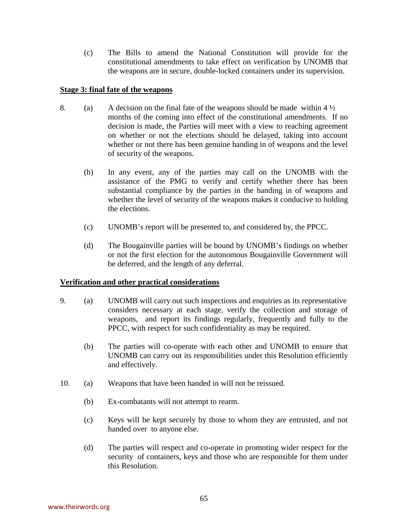(c) The Bills to amend the National Constitution will provide for the constitutional amendments to take effect on verification by UNOMB that the weapons are in secure, double-locked containers under its supervision.

#### **Stage 3: final fate of the weapons**

- 8. (a) A decision on the final fate of the weapons should be made within  $4\frac{1}{2}$ months of the coming into effect of the constitutional amendments. If no decision is made, the Parties will meet with a view to reaching agreement on whether or not the elections should be delayed, taking into account whether or not there has been genuine handing in of weapons and the level of security of the weapons.
	- (b) In any event, any of the parties may call on the UNOMB with the assistance of the PMG to verify and certify whether there has been substantial compliance by the parties in the handing in of weapons and whether the level of security of the weapons makes it conducive to holding the elections.
	- (c) UNOMB's report will be presented to, and considered by, the PPCC.
	- (d) The Bougainville parties will be bound by UNOMB's findings on whether or not the first election for the autonomous Bougainville Government will be deferred, and the length of any deferral.

# **Verification and other practical considerations**

- 9. (a) UNOMB will carry out such inspections and enquiries as its representative considers necessary at each stage, verify the collection and storage of weapons, and report its findings regularly, frequently and fully to the PPCC, with respect for such confidentiality as may be required.
	- (b) The parties will co-operate with each other and UNOMB to ensure that UNOMB can carry out its responsibilities under this Resolution efficiently and effectively.
- 10. (a) Weapons that have been handed in will not be reissued.
	- (b) Ex-combatants will not attempt to rearm.
	- (c) Keys will be kept securely by those to whom they are entrusted, and not handed over to anyone else.
	- (d) The parties will respect and co-operate in promoting wider respect for the security of containers, keys and those who are responsible for them under this Resolution.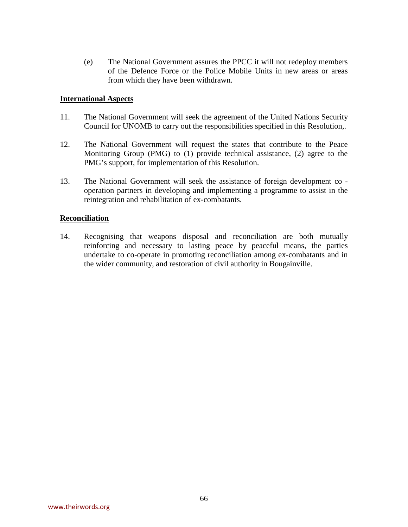(e) The National Government assures the PPCC it will not redeploy members of the Defence Force or the Police Mobile Units in new areas or areas from which they have been withdrawn.

#### **International Aspects**

- 11. The National Government will seek the agreement of the United Nations Security Council for UNOMB to carry out the responsibilities specified in this Resolution,.
- 12. The National Government will request the states that contribute to the Peace Monitoring Group (PMG) to (1) provide technical assistance, (2) agree to the PMG's support, for implementation of this Resolution.
- 13. The National Government will seek the assistance of foreign development co operation partners in developing and implementing a programme to assist in the reintegration and rehabilitation of ex-combatants.

#### **Reconciliation**

14. Recognising that weapons disposal and reconciliation are both mutually reinforcing and necessary to lasting peace by peaceful means, the parties undertake to co-operate in promoting reconciliation among ex-combatants and in the wider community, and restoration of civil authority in Bougainville.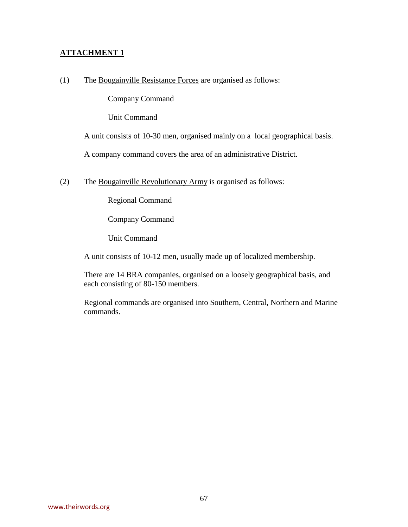# **ATTACHMENT 1**

(1) The Bougainville Resistance Forces are organised as follows:

Company Command  $\mathbf{I}$ Unit Command

A unit consists of 10-30 men, organised mainly on a local geographical basis.

A company command covers the area of an administrative District.

(2) The Bougainville Revolutionary Army is organised as follows:

Regional Command  $\mathbf{I}$ Company Command  $\mathbf{I}$ Unit Command

A unit consists of 10-12 men, usually made up of localized membership.

There are 14 BRA companies, organised on a loosely geographical basis, and each consisting of 80-150 members.

Regional commands are organised into Southern, Central, Northern and Marine commands.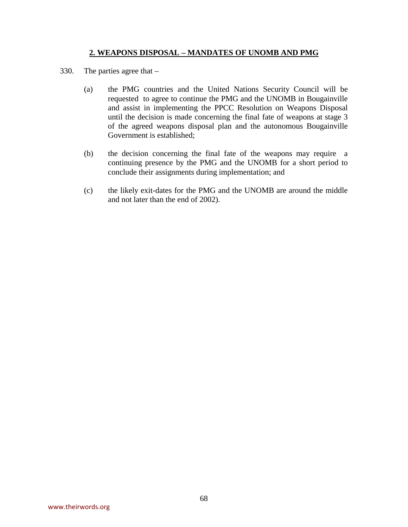# **2. WEAPONS DISPOSAL – MANDATES OF UNOMB AND PMG**

- 330. The parties agree that
	- (a) the PMG countries and the United Nations Security Council will be requested to agree to continue the PMG and the UNOMB in Bougainville and assist in implementing the PPCC Resolution on Weapons Disposal until the decision is made concerning the final fate of weapons at stage 3 of the agreed weapons disposal plan and the autonomous Bougainville Government is established;
	- (b) the decision concerning the final fate of the weapons may require a continuing presence by the PMG and the UNOMB for a short period to conclude their assignments during implementation; and
	- (c) the likely exit-dates for the PMG and the UNOMB are around the middle and not later than the end of 2002).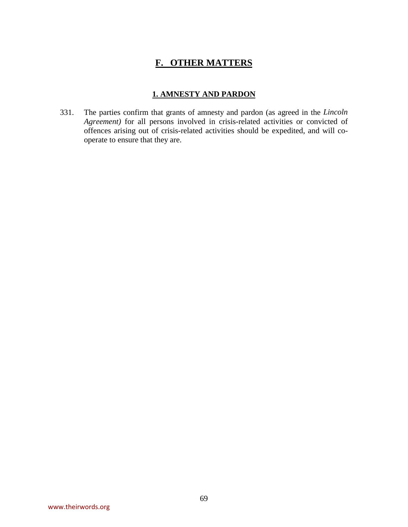# **F. OTHER MATTERS**

# **1. AMNESTY AND PARDON**

331. The parties confirm that grants of amnesty and pardon (as agreed in the *Lincoln Agreement)* for all persons involved in crisis-related activities or convicted of offences arising out of crisis-related activities should be expedited, and will cooperate to ensure that they are.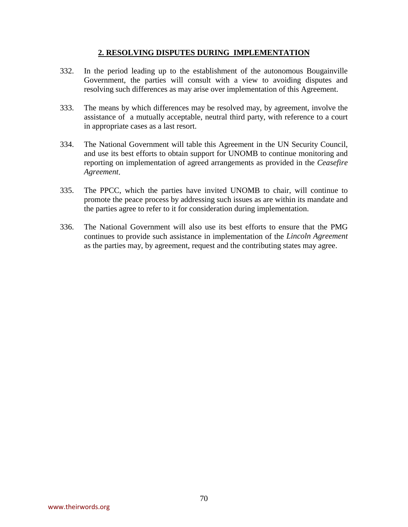# **2. RESOLVING DISPUTES DURING IMPLEMENTATION**

- 332. In the period leading up to the establishment of the autonomous Bougainville Government, the parties will consult with a view to avoiding disputes and resolving such differences as may arise over implementation of this Agreement.
- 333. The means by which differences may be resolved may, by agreement, involve the assistance of a mutually acceptable, neutral third party, with reference to a court in appropriate cases as a last resort.
- 334. The National Government will table this Agreement in the UN Security Council, and use its best efforts to obtain support for UNOMB to continue monitoring and reporting on implementation of agreed arrangements as provided in the *Ceasefire Agreement*.
- 335. The PPCC, which the parties have invited UNOMB to chair, will continue to promote the peace process by addressing such issues as are within its mandate and the parties agree to refer to it for consideration during implementation.
- 336. The National Government will also use its best efforts to ensure that the PMG continues to provide such assistance in implementation of the *Lincoln Agreement*  as the parties may, by agreement, request and the contributing states may agree.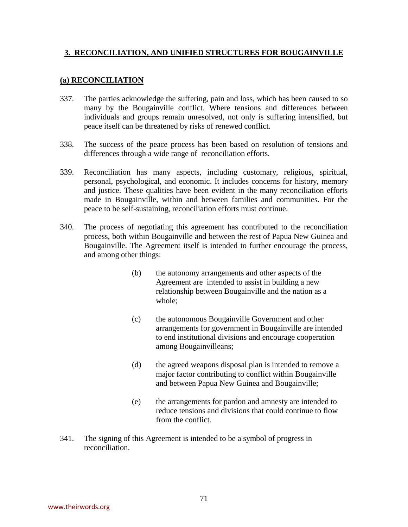# **3. RECONCILIATION, AND UNIFIED STRUCTURES FOR BOUGAINVILLE**

# **(a) RECONCILIATION**

- 337. The parties acknowledge the suffering, pain and loss, which has been caused to so many by the Bougainville conflict. Where tensions and differences between individuals and groups remain unresolved, not only is suffering intensified, but peace itself can be threatened by risks of renewed conflict.
- 338. The success of the peace process has been based on resolution of tensions and differences through a wide range of reconciliation efforts.
- 339. Reconciliation has many aspects, including customary, religious, spiritual, personal, psychological, and economic. It includes concerns for history, memory and justice. These qualities have been evident in the many reconciliation efforts made in Bougainville, within and between families and communities. For the peace to be self-sustaining, reconciliation efforts must continue.
- 340. The process of negotiating this agreement has contributed to the reconciliation process, both within Bougainville and between the rest of Papua New Guinea and Bougainville. The Agreement itself is intended to further encourage the process, and among other things:
	- (b) the autonomy arrangements and other aspects of the Agreement are intended to assist in building a new relationship between Bougainville and the nation as a whole;
	- (c) the autonomous Bougainville Government and other arrangements for government in Bougainville are intended to end institutional divisions and encourage cooperation among Bougainvilleans;
	- (d) the agreed weapons disposal plan is intended to remove a major factor contributing to conflict within Bougainville and between Papua New Guinea and Bougainville;
	- (e) the arrangements for pardon and amnesty are intended to reduce tensions and divisions that could continue to flow from the conflict.
- 341. The signing of this Agreement is intended to be a symbol of progress in reconciliation.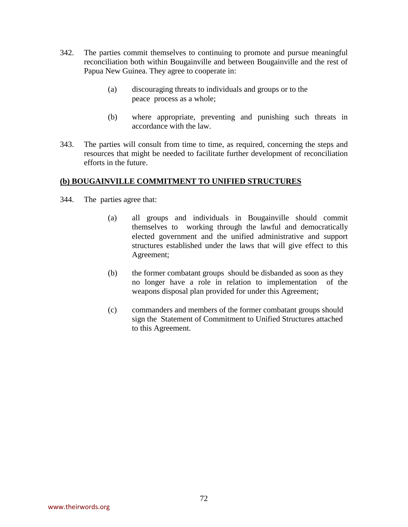- 342. The parties commit themselves to continuing to promote and pursue meaningful reconciliation both within Bougainville and between Bougainville and the rest of Papua New Guinea. They agree to cooperate in:
	- (a) discouraging threats to individuals and groups or to the peace process as a whole;
	- (b) where appropriate, preventing and punishing such threats in accordance with the law.
- 343. The parties will consult from time to time, as required, concerning the steps and resources that might be needed to facilitate further development of reconciliation efforts in the future.

## **(b) BOUGAINVILLE COMMITMENT TO UNIFIED STRUCTURES**

- 344. The parties agree that:
	- (a) all groups and individuals in Bougainville should commit themselves to working through the lawful and democratically elected government and the unified administrative and support structures established under the laws that will give effect to this Agreement;
	- (b) the former combatant groups should be disbanded as soon as they no longer have a role in relation to implementation of the weapons disposal plan provided for under this Agreement;
	- (c) commanders and members of the former combatant groups should sign the Statement of Commitment to Unified Structures attached to this Agreement.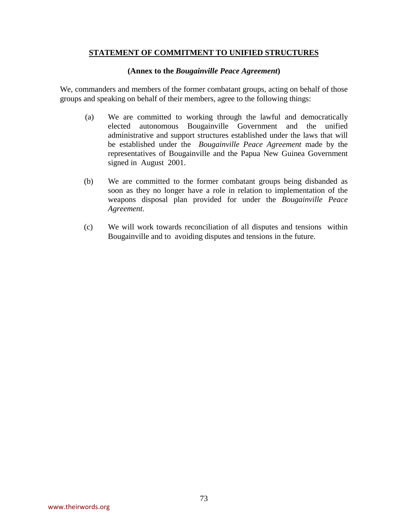## **STATEMENT OF COMMITMENT TO UNIFIED STRUCTURES**

## **(Annex to the** *Bougainville Peace Agreement***)**

We, commanders and members of the former combatant groups, acting on behalf of those groups and speaking on behalf of their members, agree to the following things:

- (a) We are committed to working through the lawful and democratically elected autonomous Bougainville Government and the unified administrative and support structures established under the laws that will be established under the *Bougainville Peace Agreement* made by the representatives of Bougainville and the Papua New Guinea Government signed in August 2001.
- (b) We are committed to the former combatant groups being disbanded as soon as they no longer have a role in relation to implementation of the weapons disposal plan provided for under the *Bougainville Peace Agreement*.
- (c) We will work towards reconciliation of all disputes and tensions within Bougainville and to avoiding disputes and tensions in the future.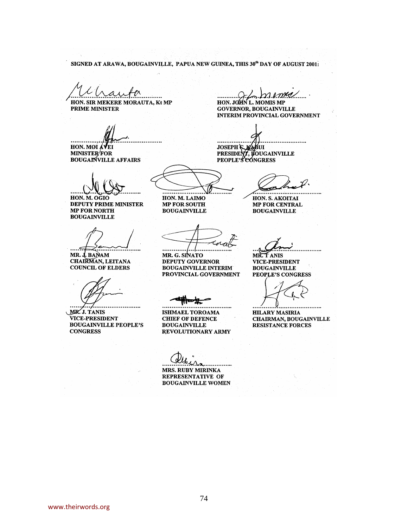SIGNED AT ARAWA, BOUGAINVILLE, PAPUA NEW GUINEA, THIS 30<sup>th</sup> DAY OF AUGUST 2001:

HON. SIR MEKERE MORAUTA, Kt MP PRIME MINISTER

...............

HON. MOI AVEI **MINISTER/FOR BOUGAINVILLE AFFAIRS** 

HON. M. OGIO DEPUTY PRIME MINISTER **MP FOR NORTH BOUGAINVILLE** 

MR. J. BANAM CHAIRMAN, LEITANA **COUNCIL OF ELDERS** 

. . . . MR. J. TANIS **VICE-PRESIDENT BOUGAINVILLE PEOPLE'S CONGRESS** 

f. WKC HON. JOHN L. MOMIS MP

**GOVERNOR, BOUGAINVILLE INTERIM PROVINCIAL GOVERNMENT** 

. . . . . . . . . . . . JOSEPH & HABUI<br>PRESIDENT, BOUGAINVILLE<br>PEOPLE'S CONGRESS

............

HON. S. AKOITAI MP FOR CENTRAL **BOUGAINVILLE** 

MR. G. SINATO **DEPUTY GOVERNOR BOUGAINVILLE INTERIM** PROVINCIAL GOVERNMENT

. . . . . . . . . . . . . . . . . . . .

HON. M. LAIMO

**MP FOR SOUTH** 

**BOUGAINVILLE** 

**BOUGAINVILLE** PEOPLE'S CONGRESS

**VICE-PRESIDENT** 

**HILARY MASIRIA CHAIRMAN, BOUGAINVILLE RESISTANCE FORCES** 

MR. TANIS

**ISHMAEL TOROAMA CHIEF OF DEFENCE BOUGAINVILLE** REVOLUTIONARY ARMY

. . . . . . . . . . . . . . . MRS. RUBY MIRINKA REPRESENTATIVE OF **BOUGAINVILLE WOMEN**